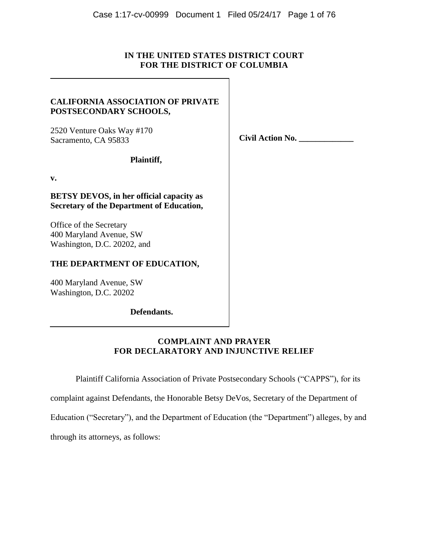# **IN THE UNITED STATES DISTRICT COURT FOR THE DISTRICT OF COLUMBIA**

# **CALIFORNIA ASSOCIATION OF PRIVATE POSTSECONDARY SCHOOLS,**

 **Plaintiff,**

2520 Venture Oaks Way #170 Sacramento, CA 95833

**Civil Action No. \_\_\_\_\_\_\_\_\_\_\_\_\_**

**v.**

**BETSY DEVOS, in her official capacity as Secretary of the Department of Education,** 

Office of the Secretary 400 Maryland Avenue, SW Washington, D.C. 20202, and

# **THE DEPARTMENT OF EDUCATION,**

400 Maryland Avenue, SW Washington, D.C. 20202

 **Defendants.**

# **COMPLAINT AND PRAYER FOR DECLARATORY AND INJUNCTIVE RELIEF**

Plaintiff California Association of Private Postsecondary Schools ("CAPPS"), for its

complaint against Defendants, the Honorable Betsy DeVos, Secretary of the Department of

Education ("Secretary"), and the Department of Education (the "Department") alleges, by and

through its attorneys, as follows: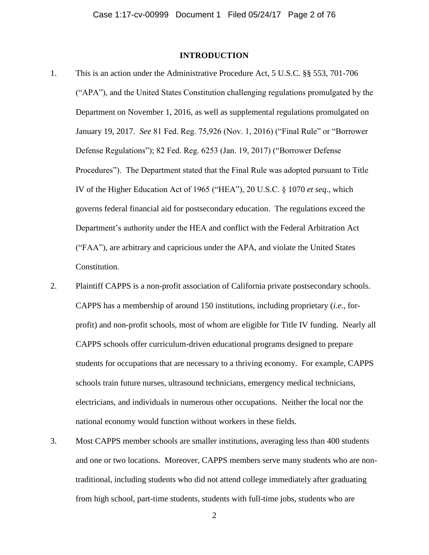## **INTRODUCTION**

- 1. This is an action under the Administrative Procedure Act, 5 U.S.C. §§ 553, 701-706 ("APA"), and the United States Constitution challenging regulations promulgated by the Department on November 1, 2016, as well as supplemental regulations promulgated on January 19, 2017. *See* 81 Fed. Reg. 75,926 (Nov. 1, 2016) ("Final Rule" or "Borrower Defense Regulations"); 82 Fed. Reg. 6253 (Jan. 19, 2017) ("Borrower Defense Procedures"). The Department stated that the Final Rule was adopted pursuant to Title IV of the Higher Education Act of 1965 ("HEA"), 20 U.S.C. § 1070 *et seq*., which governs federal financial aid for postsecondary education. The regulations exceed the Department's authority under the HEA and conflict with the Federal Arbitration Act ("FAA"), are arbitrary and capricious under the APA, and violate the United States Constitution.
- 2. Plaintiff CAPPS is a non-profit association of California private postsecondary schools. CAPPS has a membership of around 150 institutions, including proprietary (*i.e.*, forprofit) and non-profit schools, most of whom are eligible for Title IV funding. Nearly all CAPPS schools offer curriculum-driven educational programs designed to prepare students for occupations that are necessary to a thriving economy. For example, CAPPS schools train future nurses, ultrasound technicians, emergency medical technicians, electricians, and individuals in numerous other occupations. Neither the local nor the national economy would function without workers in these fields.
- 3. Most CAPPS member schools are smaller institutions, averaging less than 400 students and one or two locations. Moreover, CAPPS members serve many students who are nontraditional, including students who did not attend college immediately after graduating from high school, part-time students, students with full-time jobs, students who are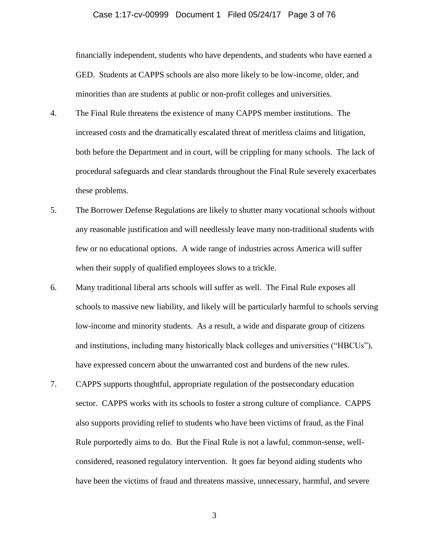### Case 1:17-cv-00999 Document 1 Filed 05/24/17 Page 3 of 76

financially independent, students who have dependents, and students who have earned a GED. Students at CAPPS schools are also more likely to be low-income, older, and minorities than are students at public or non-profit colleges and universities.

- 4. The Final Rule threatens the existence of many CAPPS member institutions. The increased costs and the dramatically escalated threat of meritless claims and litigation, both before the Department and in court, will be crippling for many schools. The lack of procedural safeguards and clear standards throughout the Final Rule severely exacerbates these problems.
- 5. The Borrower Defense Regulations are likely to shutter many vocational schools without any reasonable justification and will needlessly leave many non-traditional students with few or no educational options. A wide range of industries across America will suffer when their supply of qualified employees slows to a trickle.
- 6. Many traditional liberal arts schools will suffer as well. The Final Rule exposes all schools to massive new liability, and likely will be particularly harmful to schools serving low-income and minority students. As a result, a wide and disparate group of citizens and institutions, including many historically black colleges and universities ("HBCUs"), have expressed concern about the unwarranted cost and burdens of the new rules.
- 7. CAPPS supports thoughtful, appropriate regulation of the postsecondary education sector. CAPPS works with its schools to foster a strong culture of compliance. CAPPS also supports providing relief to students who have been victims of fraud, as the Final Rule purportedly aims to do. But the Final Rule is not a lawful, common-sense, wellconsidered, reasoned regulatory intervention. It goes far beyond aiding students who have been the victims of fraud and threatens massive, unnecessary, harmful, and severe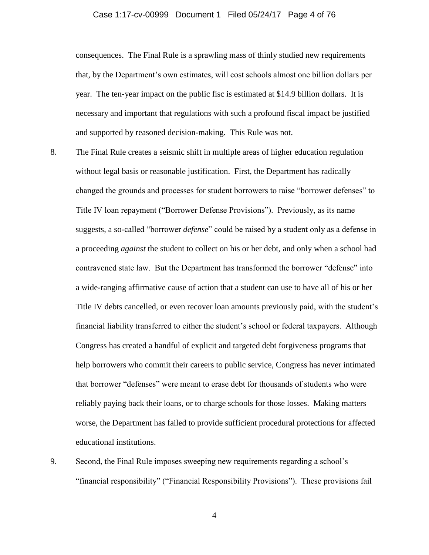### Case 1:17-cv-00999 Document 1 Filed 05/24/17 Page 4 of 76

consequences. The Final Rule is a sprawling mass of thinly studied new requirements that, by the Department's own estimates, will cost schools almost one billion dollars per year. The ten-year impact on the public fisc is estimated at \$14.9 billion dollars. It is necessary and important that regulations with such a profound fiscal impact be justified and supported by reasoned decision-making. This Rule was not.

- 8. The Final Rule creates a seismic shift in multiple areas of higher education regulation without legal basis or reasonable justification. First, the Department has radically changed the grounds and processes for student borrowers to raise "borrower defenses" to Title IV loan repayment ("Borrower Defense Provisions"). Previously, as its name suggests, a so-called "borrower *defense*" could be raised by a student only as a defense in a proceeding *against* the student to collect on his or her debt, and only when a school had contravened state law. But the Department has transformed the borrower "defense" into a wide-ranging affirmative cause of action that a student can use to have all of his or her Title IV debts cancelled, or even recover loan amounts previously paid, with the student's financial liability transferred to either the student's school or federal taxpayers. Although Congress has created a handful of explicit and targeted debt forgiveness programs that help borrowers who commit their careers to public service, Congress has never intimated that borrower "defenses" were meant to erase debt for thousands of students who were reliably paying back their loans, or to charge schools for those losses. Making matters worse, the Department has failed to provide sufficient procedural protections for affected educational institutions.
- 9. Second, the Final Rule imposes sweeping new requirements regarding a school's "financial responsibility" ("Financial Responsibility Provisions"). These provisions fail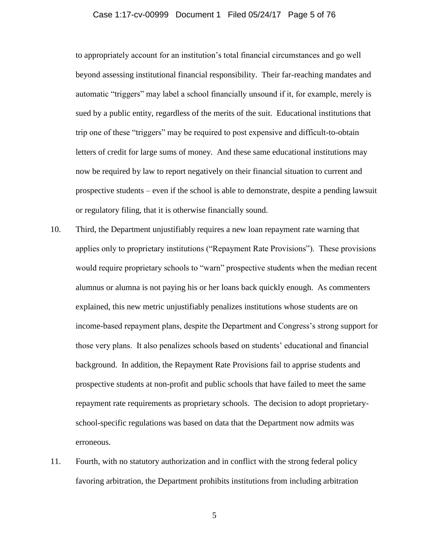### Case 1:17-cv-00999 Document 1 Filed 05/24/17 Page 5 of 76

to appropriately account for an institution's total financial circumstances and go well beyond assessing institutional financial responsibility. Their far-reaching mandates and automatic "triggers" may label a school financially unsound if it, for example, merely is sued by a public entity, regardless of the merits of the suit. Educational institutions that trip one of these "triggers" may be required to post expensive and difficult-to-obtain letters of credit for large sums of money. And these same educational institutions may now be required by law to report negatively on their financial situation to current and prospective students – even if the school is able to demonstrate, despite a pending lawsuit or regulatory filing, that it is otherwise financially sound.

- 10. Third, the Department unjustifiably requires a new loan repayment rate warning that applies only to proprietary institutions ("Repayment Rate Provisions"). These provisions would require proprietary schools to "warn" prospective students when the median recent alumnus or alumna is not paying his or her loans back quickly enough. As commenters explained, this new metric unjustifiably penalizes institutions whose students are on income-based repayment plans, despite the Department and Congress's strong support for those very plans. It also penalizes schools based on students' educational and financial background. In addition, the Repayment Rate Provisions fail to apprise students and prospective students at non-profit and public schools that have failed to meet the same repayment rate requirements as proprietary schools. The decision to adopt proprietaryschool-specific regulations was based on data that the Department now admits was erroneous.
- 11. Fourth, with no statutory authorization and in conflict with the strong federal policy favoring arbitration, the Department prohibits institutions from including arbitration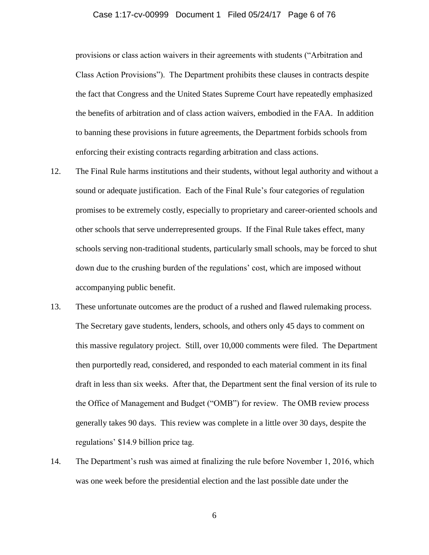## Case 1:17-cv-00999 Document 1 Filed 05/24/17 Page 6 of 76

provisions or class action waivers in their agreements with students ("Arbitration and Class Action Provisions"). The Department prohibits these clauses in contracts despite the fact that Congress and the United States Supreme Court have repeatedly emphasized the benefits of arbitration and of class action waivers, embodied in the FAA. In addition to banning these provisions in future agreements, the Department forbids schools from enforcing their existing contracts regarding arbitration and class actions.

- 12. The Final Rule harms institutions and their students, without legal authority and without a sound or adequate justification. Each of the Final Rule's four categories of regulation promises to be extremely costly, especially to proprietary and career-oriented schools and other schools that serve underrepresented groups. If the Final Rule takes effect, many schools serving non-traditional students, particularly small schools, may be forced to shut down due to the crushing burden of the regulations' cost, which are imposed without accompanying public benefit.
- 13. These unfortunate outcomes are the product of a rushed and flawed rulemaking process. The Secretary gave students, lenders, schools, and others only 45 days to comment on this massive regulatory project. Still, over 10,000 comments were filed. The Department then purportedly read, considered, and responded to each material comment in its final draft in less than six weeks. After that, the Department sent the final version of its rule to the Office of Management and Budget ("OMB") for review. The OMB review process generally takes 90 days. This review was complete in a little over 30 days, despite the regulations' \$14.9 billion price tag.
- 14. The Department's rush was aimed at finalizing the rule before November 1, 2016, which was one week before the presidential election and the last possible date under the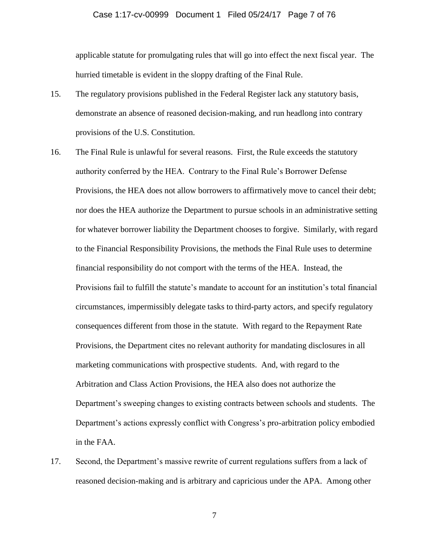## Case 1:17-cv-00999 Document 1 Filed 05/24/17 Page 7 of 76

applicable statute for promulgating rules that will go into effect the next fiscal year. The hurried timetable is evident in the sloppy drafting of the Final Rule.

- 15. The regulatory provisions published in the Federal Register lack any statutory basis, demonstrate an absence of reasoned decision-making, and run headlong into contrary provisions of the U.S. Constitution.
- 16. The Final Rule is unlawful for several reasons. First, the Rule exceeds the statutory authority conferred by the HEA. Contrary to the Final Rule's Borrower Defense Provisions, the HEA does not allow borrowers to affirmatively move to cancel their debt; nor does the HEA authorize the Department to pursue schools in an administrative setting for whatever borrower liability the Department chooses to forgive. Similarly, with regard to the Financial Responsibility Provisions, the methods the Final Rule uses to determine financial responsibility do not comport with the terms of the HEA. Instead, the Provisions fail to fulfill the statute's mandate to account for an institution's total financial circumstances, impermissibly delegate tasks to third-party actors, and specify regulatory consequences different from those in the statute. With regard to the Repayment Rate Provisions, the Department cites no relevant authority for mandating disclosures in all marketing communications with prospective students. And, with regard to the Arbitration and Class Action Provisions, the HEA also does not authorize the Department's sweeping changes to existing contracts between schools and students. The Department's actions expressly conflict with Congress's pro-arbitration policy embodied in the FAA.
- 17. Second, the Department's massive rewrite of current regulations suffers from a lack of reasoned decision-making and is arbitrary and capricious under the APA. Among other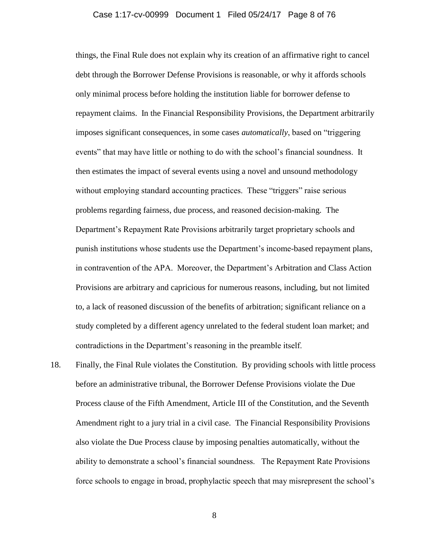### Case 1:17-cv-00999 Document 1 Filed 05/24/17 Page 8 of 76

things, the Final Rule does not explain why its creation of an affirmative right to cancel debt through the Borrower Defense Provisions is reasonable, or why it affords schools only minimal process before holding the institution liable for borrower defense to repayment claims. In the Financial Responsibility Provisions, the Department arbitrarily imposes significant consequences, in some cases *automatically*, based on "triggering events" that may have little or nothing to do with the school's financial soundness. It then estimates the impact of several events using a novel and unsound methodology without employing standard accounting practices. These "triggers" raise serious problems regarding fairness, due process, and reasoned decision-making. The Department's Repayment Rate Provisions arbitrarily target proprietary schools and punish institutions whose students use the Department's income-based repayment plans, in contravention of the APA. Moreover, the Department's Arbitration and Class Action Provisions are arbitrary and capricious for numerous reasons, including, but not limited to, a lack of reasoned discussion of the benefits of arbitration; significant reliance on a study completed by a different agency unrelated to the federal student loan market; and contradictions in the Department's reasoning in the preamble itself.

18. Finally, the Final Rule violates the Constitution. By providing schools with little process before an administrative tribunal, the Borrower Defense Provisions violate the Due Process clause of the Fifth Amendment, Article III of the Constitution, and the Seventh Amendment right to a jury trial in a civil case. The Financial Responsibility Provisions also violate the Due Process clause by imposing penalties automatically, without the ability to demonstrate a school's financial soundness. The Repayment Rate Provisions force schools to engage in broad, prophylactic speech that may misrepresent the school's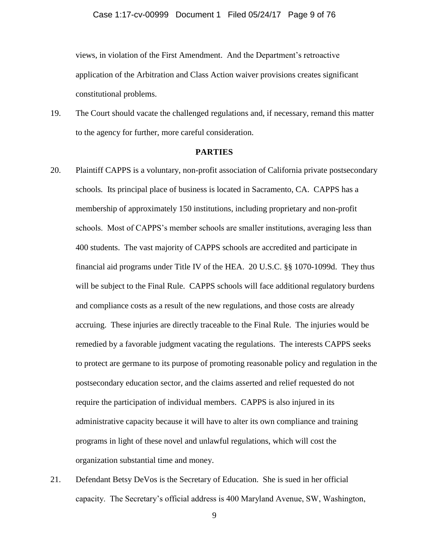views, in violation of the First Amendment. And the Department's retroactive application of the Arbitration and Class Action waiver provisions creates significant constitutional problems.

19. The Court should vacate the challenged regulations and, if necessary, remand this matter to the agency for further, more careful consideration.

### **PARTIES**

- 20. Plaintiff CAPPS is a voluntary, non-profit association of California private postsecondary schools*.* Its principal place of business is located in Sacramento, CA. CAPPS has a membership of approximately 150 institutions, including proprietary and non-profit schools. Most of CAPPS's member schools are smaller institutions, averaging less than 400 students. The vast majority of CAPPS schools are accredited and participate in financial aid programs under Title IV of the HEA. 20 U.S.C. §§ 1070-1099d. They thus will be subject to the Final Rule. CAPPS schools will face additional regulatory burdens and compliance costs as a result of the new regulations, and those costs are already accruing. These injuries are directly traceable to the Final Rule. The injuries would be remedied by a favorable judgment vacating the regulations. The interests CAPPS seeks to protect are germane to its purpose of promoting reasonable policy and regulation in the postsecondary education sector, and the claims asserted and relief requested do not require the participation of individual members. CAPPS is also injured in its administrative capacity because it will have to alter its own compliance and training programs in light of these novel and unlawful regulations, which will cost the organization substantial time and money.
- 21. Defendant Betsy DeVos is the Secretary of Education. She is sued in her official capacity. The Secretary's official address is 400 Maryland Avenue, SW, Washington,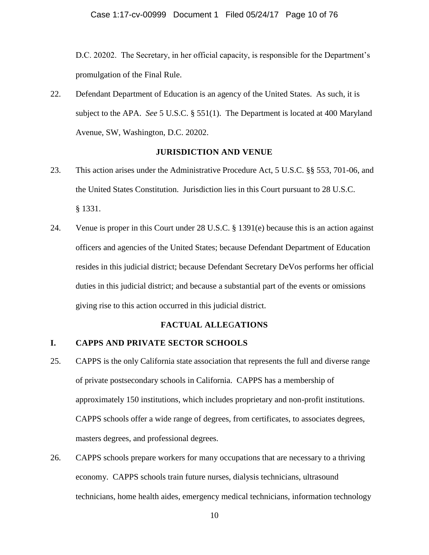D.C. 20202. The Secretary, in her official capacity, is responsible for the Department's promulgation of the Final Rule.

22. Defendant Department of Education is an agency of the United States. As such, it is subject to the APA. *See* 5 U.S.C. § 551(1). The Department is located at 400 Maryland Avenue, SW, Washington, D.C. 20202.

### **JURISDICTION AND VENUE**

- 23. This action arises under the Administrative Procedure Act, 5 U.S.C. §§ 553, 701-06, and the United States Constitution. Jurisdiction lies in this Court pursuant to 28 U.S.C. § 1331.
- 24. Venue is proper in this Court under 28 U.S.C. § 1391(e) because this is an action against officers and agencies of the United States; because Defendant Department of Education resides in this judicial district; because Defendant Secretary DeVos performs her official duties in this judicial district; and because a substantial part of the events or omissions giving rise to this action occurred in this judicial district.

# **FACTUAL ALLE**G**ATIONS**

## **I. CAPPS AND PRIVATE SECTOR SCHOOLS**

- 25. CAPPS is the only California state association that represents the full and diverse range of private postsecondary schools in California. CAPPS has a membership of approximately 150 institutions, which includes proprietary and non-profit institutions. CAPPS schools offer a wide range of degrees, from certificates, to associates degrees, masters degrees, and professional degrees.
- 26. CAPPS schools prepare workers for many occupations that are necessary to a thriving economy. CAPPS schools train future nurses, dialysis technicians, ultrasound technicians, home health aides, emergency medical technicians, information technology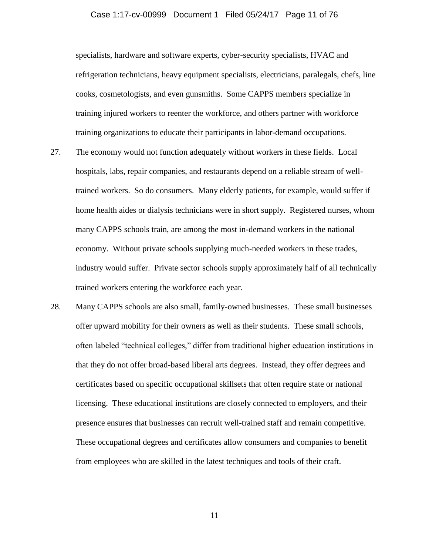## Case 1:17-cv-00999 Document 1 Filed 05/24/17 Page 11 of 76

specialists, hardware and software experts, cyber-security specialists, HVAC and refrigeration technicians, heavy equipment specialists, electricians, paralegals, chefs, line cooks, cosmetologists, and even gunsmiths. Some CAPPS members specialize in training injured workers to reenter the workforce, and others partner with workforce training organizations to educate their participants in labor-demand occupations.

- 27. The economy would not function adequately without workers in these fields. Local hospitals, labs, repair companies, and restaurants depend on a reliable stream of welltrained workers. So do consumers. Many elderly patients, for example, would suffer if home health aides or dialysis technicians were in short supply. Registered nurses, whom many CAPPS schools train, are among the most in-demand workers in the national economy. Without private schools supplying much-needed workers in these trades, industry would suffer. Private sector schools supply approximately half of all technically trained workers entering the workforce each year.
- 28. Many CAPPS schools are also small, family-owned businesses. These small businesses offer upward mobility for their owners as well as their students. These small schools, often labeled "technical colleges," differ from traditional higher education institutions in that they do not offer broad-based liberal arts degrees. Instead, they offer degrees and certificates based on specific occupational skillsets that often require state or national licensing. These educational institutions are closely connected to employers, and their presence ensures that businesses can recruit well-trained staff and remain competitive. These occupational degrees and certificates allow consumers and companies to benefit from employees who are skilled in the latest techniques and tools of their craft.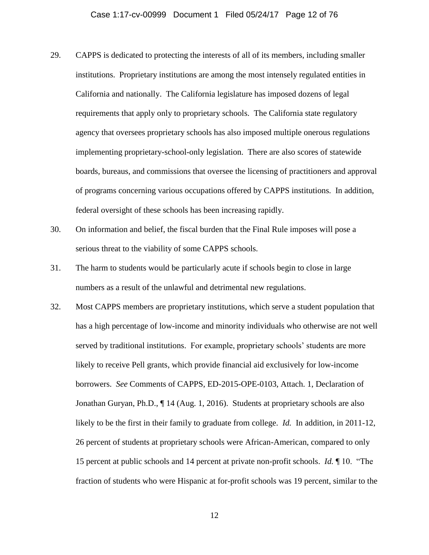- 29. CAPPS is dedicated to protecting the interests of all of its members, including smaller institutions. Proprietary institutions are among the most intensely regulated entities in California and nationally. The California legislature has imposed dozens of legal requirements that apply only to proprietary schools. The California state regulatory agency that oversees proprietary schools has also imposed multiple onerous regulations implementing proprietary-school-only legislation. There are also scores of statewide boards, bureaus, and commissions that oversee the licensing of practitioners and approval of programs concerning various occupations offered by CAPPS institutions. In addition, federal oversight of these schools has been increasing rapidly.
- 30. On information and belief, the fiscal burden that the Final Rule imposes will pose a serious threat to the viability of some CAPPS schools.
- 31. The harm to students would be particularly acute if schools begin to close in large numbers as a result of the unlawful and detrimental new regulations.
- 32. Most CAPPS members are proprietary institutions, which serve a student population that has a high percentage of low-income and minority individuals who otherwise are not well served by traditional institutions. For example, proprietary schools' students are more likely to receive Pell grants, which provide financial aid exclusively for low-income borrowers. *See* Comments of CAPPS, ED-2015-OPE-0103, Attach. 1, Declaration of Jonathan Guryan, Ph.D., ¶ 14 (Aug. 1, 2016). Students at proprietary schools are also likely to be the first in their family to graduate from college. *Id.* In addition, in 2011-12, 26 percent of students at proprietary schools were African-American, compared to only 15 percent at public schools and 14 percent at private non-profit schools. *Id.* ¶ 10. "The fraction of students who were Hispanic at for-profit schools was 19 percent, similar to the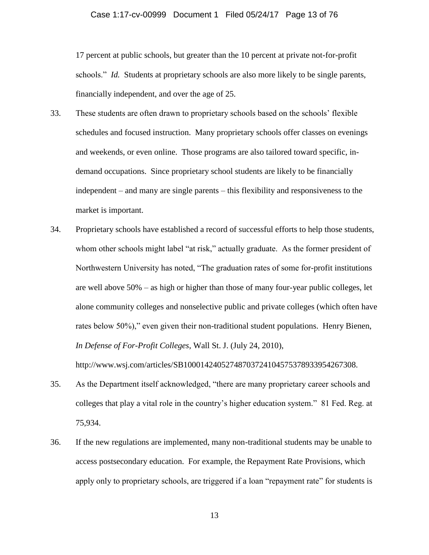### Case 1:17-cv-00999 Document 1 Filed 05/24/17 Page 13 of 76

17 percent at public schools, but greater than the 10 percent at private not-for-profit schools." *Id.* Students at proprietary schools are also more likely to be single parents, financially independent, and over the age of 25.

- 33. These students are often drawn to proprietary schools based on the schools' flexible schedules and focused instruction. Many proprietary schools offer classes on evenings and weekends, or even online. Those programs are also tailored toward specific, indemand occupations. Since proprietary school students are likely to be financially independent – and many are single parents – this flexibility and responsiveness to the market is important.
- 34. Proprietary schools have established a record of successful efforts to help those students, whom other schools might label "at risk," actually graduate. As the former president of Northwestern University has noted, "The graduation rates of some for-profit institutions are well above 50% – as high or higher than those of many four-year public colleges, let alone community colleges and nonselective public and private colleges (which often have rates below 50%)," even given their non-traditional student populations. Henry Bienen, *In Defense of For-Profit Colleges*, Wall St. J. (July 24, 2010),

http://www.wsj.com/articles/SB10001424052748703724104575378933954267308.

- 35. As the Department itself acknowledged, "there are many proprietary career schools and colleges that play a vital role in the country's higher education system." 81 Fed. Reg. at 75,934.
- 36. If the new regulations are implemented, many non-traditional students may be unable to access postsecondary education. For example, the Repayment Rate Provisions, which apply only to proprietary schools, are triggered if a loan "repayment rate" for students is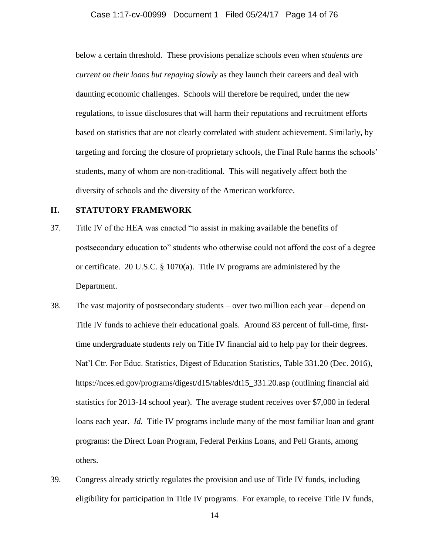## Case 1:17-cv-00999 Document 1 Filed 05/24/17 Page 14 of 76

below a certain threshold. These provisions penalize schools even when *students are current on their loans but repaying slowly* as they launch their careers and deal with daunting economic challenges. Schools will therefore be required, under the new regulations, to issue disclosures that will harm their reputations and recruitment efforts based on statistics that are not clearly correlated with student achievement. Similarly, by targeting and forcing the closure of proprietary schools, the Final Rule harms the schools' students, many of whom are non-traditional. This will negatively affect both the diversity of schools and the diversity of the American workforce.

## **II. STATUTORY FRAMEWORK**

- 37. Title IV of the HEA was enacted "to assist in making available the benefits of postsecondary education to" students who otherwise could not afford the cost of a degree or certificate. 20 U.S.C. § 1070(a). Title IV programs are administered by the Department.
- 38. The vast majority of postsecondary students over two million each year depend on Title IV funds to achieve their educational goals. Around 83 percent of full-time, firsttime undergraduate students rely on Title IV financial aid to help pay for their degrees. Nat'l Ctr. For Educ. Statistics, Digest of Education Statistics, Table 331.20 (Dec. 2016), https://nces.ed.gov/programs/digest/d15/tables/dt15\_331.20.asp (outlining financial aid statistics for 2013-14 school year). The average student receives over \$7,000 in federal loans each year. *Id.* Title IV programs include many of the most familiar loan and grant programs: the Direct Loan Program, Federal Perkins Loans, and Pell Grants, among others.
- 39. Congress already strictly regulates the provision and use of Title IV funds, including eligibility for participation in Title IV programs. For example, to receive Title IV funds,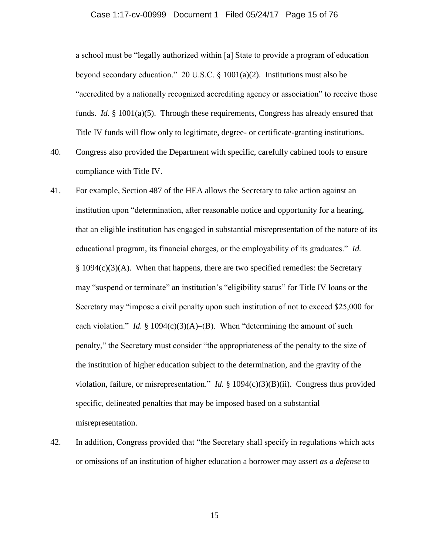### Case 1:17-cv-00999 Document 1 Filed 05/24/17 Page 15 of 76

a school must be "legally authorized within [a] State to provide a program of education beyond secondary education." 20 U.S.C. § 1001(a)(2). Institutions must also be "accredited by a nationally recognized accrediting agency or association" to receive those funds. *Id.* § 1001(a)(5). Through these requirements, Congress has already ensured that Title IV funds will flow only to legitimate, degree- or certificate-granting institutions.

- 40. Congress also provided the Department with specific, carefully cabined tools to ensure compliance with Title IV.
- 41. For example, Section 487 of the HEA allows the Secretary to take action against an institution upon "determination, after reasonable notice and opportunity for a hearing, that an eligible institution has engaged in substantial misrepresentation of the nature of its educational program, its financial charges, or the employability of its graduates." *Id.*  $§ 1094(c)(3)(A)$ . When that happens, there are two specified remedies: the Secretary may "suspend or terminate" an institution's "eligibility status" for Title IV loans or the Secretary may "impose a civil penalty upon such institution of not to exceed \$25,000 for each violation." *Id.* § 1094(c)(3)(A)–(B). When "determining the amount of such penalty," the Secretary must consider "the appropriateness of the penalty to the size of the institution of higher education subject to the determination, and the gravity of the violation, failure, or misrepresentation." *Id.* § 1094(c)(3)(B)(ii). Congress thus provided specific, delineated penalties that may be imposed based on a substantial misrepresentation.
- 42. In addition, Congress provided that "the Secretary shall specify in regulations which acts or omissions of an institution of higher education a borrower may assert *as a defense* to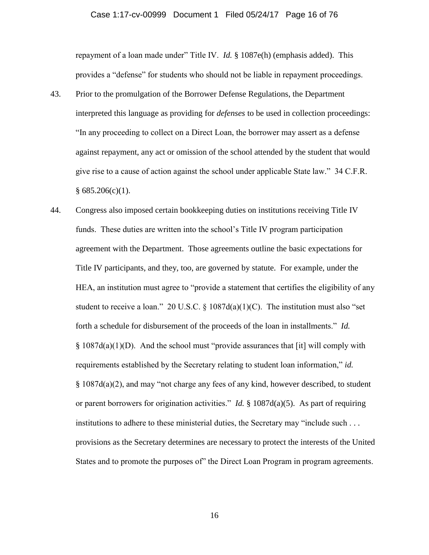#### Case 1:17-cv-00999 Document 1 Filed 05/24/17 Page 16 of 76

repayment of a loan made under" Title IV. *Id.* § 1087e(h) (emphasis added). This provides a "defense" for students who should not be liable in repayment proceedings.

- 43. Prior to the promulgation of the Borrower Defense Regulations, the Department interpreted this language as providing for *defenses* to be used in collection proceedings: "In any proceeding to collect on a Direct Loan, the borrower may assert as a defense against repayment, any act or omission of the school attended by the student that would give rise to a cause of action against the school under applicable State law." 34 C.F.R.  $§ 685.206(c)(1).$
- 44. Congress also imposed certain bookkeeping duties on institutions receiving Title IV funds. These duties are written into the school's Title IV program participation agreement with the Department. Those agreements outline the basic expectations for Title IV participants, and they, too, are governed by statute. For example, under the HEA, an institution must agree to "provide a statement that certifies the eligibility of any student to receive a loan." 20 U.S.C.  $\S$  1087d(a)(1)(C). The institution must also "set forth a schedule for disbursement of the proceeds of the loan in installments." *Id.*  $§ 1087d(a)(1)(D)$ . And the school must "provide assurances that [it] will comply with requirements established by the Secretary relating to student loan information," *id.*  § 1087d(a)(2), and may "not charge any fees of any kind, however described, to student or parent borrowers for origination activities." *Id.* § 1087d(a)(5). As part of requiring institutions to adhere to these ministerial duties, the Secretary may "include such . . . provisions as the Secretary determines are necessary to protect the interests of the United States and to promote the purposes of" the Direct Loan Program in program agreements.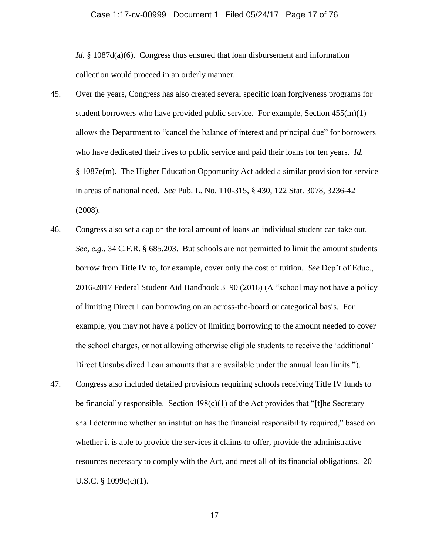*Id.* § 1087d(a)(6). Congress thus ensured that loan disbursement and information collection would proceed in an orderly manner.

- 45. Over the years, Congress has also created several specific loan forgiveness programs for student borrowers who have provided public service. For example, Section  $455(m)(1)$ allows the Department to "cancel the balance of interest and principal due" for borrowers who have dedicated their lives to public service and paid their loans for ten years. *Id.* § 1087e(m). The Higher Education Opportunity Act added a similar provision for service in areas of national need. *See* Pub. L. No. 110-315, § 430, 122 Stat. 3078, 3236-42 (2008).
- 46. Congress also set a cap on the total amount of loans an individual student can take out. *See, e.g.*, 34 C.F.R. § 685.203. But schools are not permitted to limit the amount students borrow from Title IV to, for example, cover only the cost of tuition. *See* Dep't of Educ., 2016-2017 Federal Student Aid Handbook 3–90 (2016) (A "school may not have a policy of limiting Direct Loan borrowing on an across-the-board or categorical basis. For example, you may not have a policy of limiting borrowing to the amount needed to cover the school charges, or not allowing otherwise eligible students to receive the 'additional' Direct Unsubsidized Loan amounts that are available under the annual loan limits.").
- 47. Congress also included detailed provisions requiring schools receiving Title IV funds to be financially responsible. Section  $498(c)(1)$  of the Act provides that "[t]he Secretary shall determine whether an institution has the financial responsibility required," based on whether it is able to provide the services it claims to offer, provide the administrative resources necessary to comply with the Act, and meet all of its financial obligations. 20 U.S.C.  $\S$  1099c(c)(1).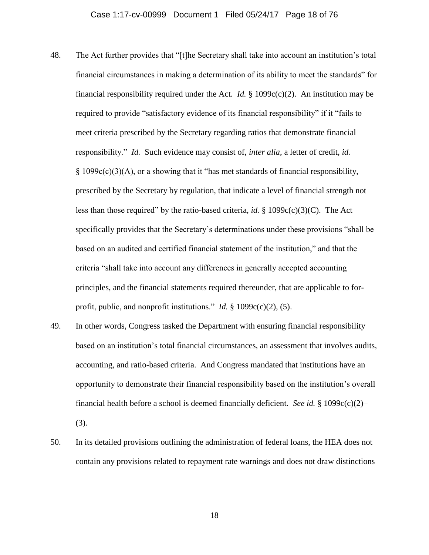- 48. The Act further provides that "[t]he Secretary shall take into account an institution's total financial circumstances in making a determination of its ability to meet the standards" for financial responsibility required under the Act. *Id.* § 1099 $c(c)(2)$ . An institution may be required to provide "satisfactory evidence of its financial responsibility" if it "fails to meet criteria prescribed by the Secretary regarding ratios that demonstrate financial responsibility." *Id.* Such evidence may consist of, *inter alia*, a letter of credit, *id.* § 1099c(c)(3)(A), or a showing that it "has met standards of financial responsibility, prescribed by the Secretary by regulation, that indicate a level of financial strength not less than those required" by the ratio-based criteria, *id.* § 1099 $c(c)(3)(C)$ . The Act specifically provides that the Secretary's determinations under these provisions "shall be based on an audited and certified financial statement of the institution," and that the criteria "shall take into account any differences in generally accepted accounting principles, and the financial statements required thereunder, that are applicable to forprofit, public, and nonprofit institutions." *Id.*  $\S$  1099c(c)(2), (5).
- 49. In other words, Congress tasked the Department with ensuring financial responsibility based on an institution's total financial circumstances, an assessment that involves audits, accounting, and ratio-based criteria. And Congress mandated that institutions have an opportunity to demonstrate their financial responsibility based on the institution's overall financial health before a school is deemed financially deficient. *See id.* § 1099c(c)(2)– (3).
- 50. In its detailed provisions outlining the administration of federal loans, the HEA does not contain any provisions related to repayment rate warnings and does not draw distinctions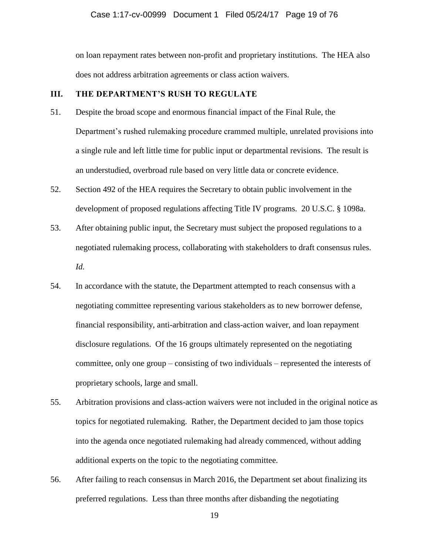### Case 1:17-cv-00999 Document 1 Filed 05/24/17 Page 19 of 76

on loan repayment rates between non-profit and proprietary institutions. The HEA also does not address arbitration agreements or class action waivers.

## **III. THE DEPARTMENT'S RUSH TO REGULATE**

- 51. Despite the broad scope and enormous financial impact of the Final Rule, the Department's rushed rulemaking procedure crammed multiple, unrelated provisions into a single rule and left little time for public input or departmental revisions. The result is an understudied, overbroad rule based on very little data or concrete evidence.
- 52. Section 492 of the HEA requires the Secretary to obtain public involvement in the development of proposed regulations affecting Title IV programs. 20 U.S.C. § 1098a.
- 53. After obtaining public input, the Secretary must subject the proposed regulations to a negotiated rulemaking process, collaborating with stakeholders to draft consensus rules. *Id.*
- 54. In accordance with the statute, the Department attempted to reach consensus with a negotiating committee representing various stakeholders as to new borrower defense, financial responsibility, anti-arbitration and class-action waiver, and loan repayment disclosure regulations. Of the 16 groups ultimately represented on the negotiating committee, only one group – consisting of two individuals – represented the interests of proprietary schools, large and small.
- 55. Arbitration provisions and class-action waivers were not included in the original notice as topics for negotiated rulemaking. Rather, the Department decided to jam those topics into the agenda once negotiated rulemaking had already commenced, without adding additional experts on the topic to the negotiating committee.
- 56. After failing to reach consensus in March 2016, the Department set about finalizing its preferred regulations. Less than three months after disbanding the negotiating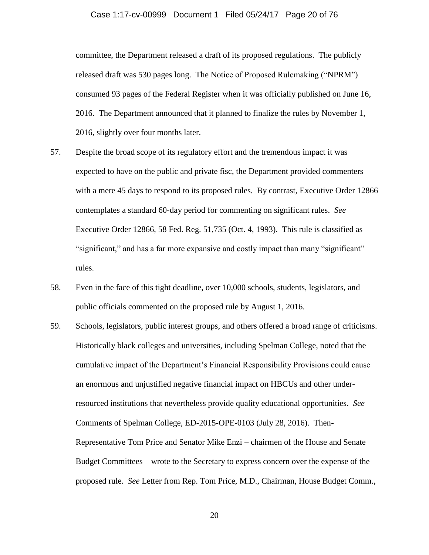### Case 1:17-cv-00999 Document 1 Filed 05/24/17 Page 20 of 76

committee, the Department released a draft of its proposed regulations. The publicly released draft was 530 pages long. The Notice of Proposed Rulemaking ("NPRM") consumed 93 pages of the Federal Register when it was officially published on June 16, 2016. The Department announced that it planned to finalize the rules by November 1, 2016, slightly over four months later.

- 57. Despite the broad scope of its regulatory effort and the tremendous impact it was expected to have on the public and private fisc, the Department provided commenters with a mere 45 days to respond to its proposed rules. By contrast, Executive Order 12866 contemplates a standard 60-day period for commenting on significant rules. *See* Executive Order 12866, 58 Fed. Reg. 51,735 (Oct. 4, 1993). This rule is classified as "significant," and has a far more expansive and costly impact than many "significant" rules.
- 58. Even in the face of this tight deadline, over 10,000 schools, students, legislators, and public officials commented on the proposed rule by August 1, 2016.
- 59. Schools, legislators, public interest groups, and others offered a broad range of criticisms. Historically black colleges and universities, including Spelman College, noted that the cumulative impact of the Department's Financial Responsibility Provisions could cause an enormous and unjustified negative financial impact on HBCUs and other underresourced institutions that nevertheless provide quality educational opportunities. *See* Comments of Spelman College, ED-2015-OPE-0103 (July 28, 2016). Then-Representative Tom Price and Senator Mike Enzi – chairmen of the House and Senate Budget Committees – wrote to the Secretary to express concern over the expense of the proposed rule. *See* Letter from Rep. Tom Price, M.D., Chairman, House Budget Comm.,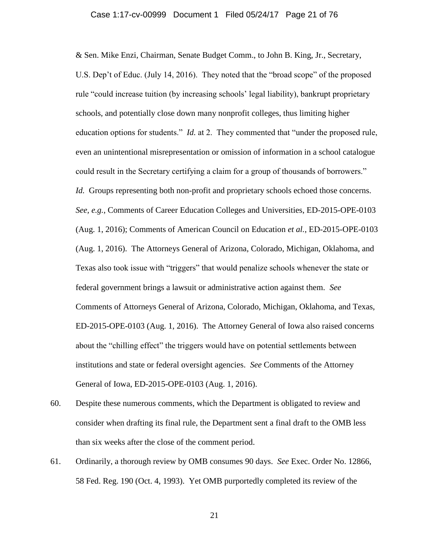## Case 1:17-cv-00999 Document 1 Filed 05/24/17 Page 21 of 76

& Sen. Mike Enzi, Chairman, Senate Budget Comm., to John B. King, Jr., Secretary, U.S. Dep't of Educ. (July 14, 2016). They noted that the "broad scope" of the proposed rule "could increase tuition (by increasing schools' legal liability), bankrupt proprietary schools, and potentially close down many nonprofit colleges, thus limiting higher education options for students." *Id.* at 2. They commented that "under the proposed rule, even an unintentional misrepresentation or omission of information in a school catalogue could result in the Secretary certifying a claim for a group of thousands of borrowers." *Id.* Groups representing both non-profit and proprietary schools echoed those concerns. *See, e.g.*, Comments of Career Education Colleges and Universities, ED-2015-OPE-0103 (Aug. 1, 2016); Comments of American Council on Education *et al.*, ED-2015-OPE-0103 (Aug. 1, 2016). The Attorneys General of Arizona, Colorado, Michigan, Oklahoma, and Texas also took issue with "triggers" that would penalize schools whenever the state or federal government brings a lawsuit or administrative action against them. *See* Comments of Attorneys General of Arizona, Colorado, Michigan, Oklahoma, and Texas, ED-2015-OPE-0103 (Aug. 1, 2016). The Attorney General of Iowa also raised concerns about the "chilling effect" the triggers would have on potential settlements between institutions and state or federal oversight agencies. *See* Comments of the Attorney General of Iowa, ED-2015-OPE-0103 (Aug. 1, 2016).

- 60. Despite these numerous comments, which the Department is obligated to review and consider when drafting its final rule, the Department sent a final draft to the OMB less than six weeks after the close of the comment period.
- 61. Ordinarily, a thorough review by OMB consumes 90 days. *See* Exec. Order No. 12866, 58 Fed. Reg. 190 (Oct. 4, 1993). Yet OMB purportedly completed its review of the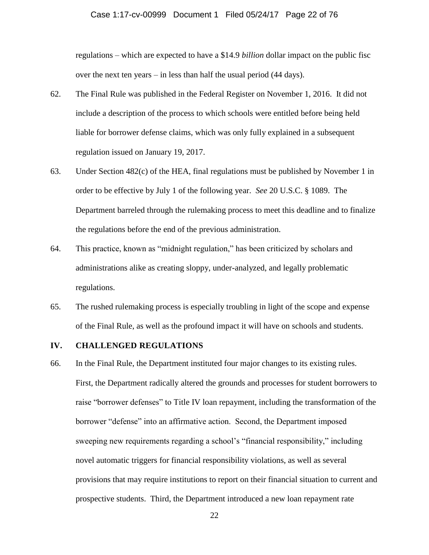### Case 1:17-cv-00999 Document 1 Filed 05/24/17 Page 22 of 76

regulations – which are expected to have a \$14.9 *billion* dollar impact on the public fisc over the next ten years – in less than half the usual period (44 days).

- 62. The Final Rule was published in the Federal Register on November 1, 2016. It did not include a description of the process to which schools were entitled before being held liable for borrower defense claims, which was only fully explained in a subsequent regulation issued on January 19, 2017.
- 63. Under Section 482(c) of the HEA, final regulations must be published by November 1 in order to be effective by July 1 of the following year. *See* 20 U.S.C. § 1089. The Department barreled through the rulemaking process to meet this deadline and to finalize the regulations before the end of the previous administration.
- 64. This practice, known as "midnight regulation," has been criticized by scholars and administrations alike as creating sloppy, under-analyzed, and legally problematic regulations.
- 65. The rushed rulemaking process is especially troubling in light of the scope and expense of the Final Rule, as well as the profound impact it will have on schools and students.

### **IV. CHALLENGED REGULATIONS**

66. In the Final Rule, the Department instituted four major changes to its existing rules. First, the Department radically altered the grounds and processes for student borrowers to raise "borrower defenses" to Title IV loan repayment, including the transformation of the borrower "defense" into an affirmative action. Second, the Department imposed sweeping new requirements regarding a school's "financial responsibility," including novel automatic triggers for financial responsibility violations, as well as several provisions that may require institutions to report on their financial situation to current and prospective students. Third, the Department introduced a new loan repayment rate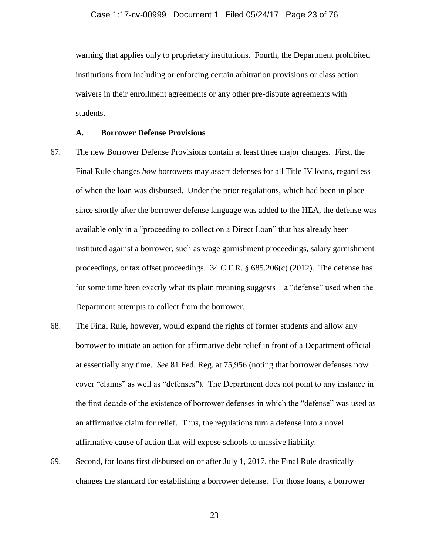warning that applies only to proprietary institutions. Fourth, the Department prohibited institutions from including or enforcing certain arbitration provisions or class action waivers in their enrollment agreements or any other pre-dispute agreements with students.

### **A. Borrower Defense Provisions**

- 67. The new Borrower Defense Provisions contain at least three major changes. First, the Final Rule changes *how* borrowers may assert defenses for all Title IV loans, regardless of when the loan was disbursed. Under the prior regulations, which had been in place since shortly after the borrower defense language was added to the HEA, the defense was available only in a "proceeding to collect on a Direct Loan" that has already been instituted against a borrower, such as wage garnishment proceedings, salary garnishment proceedings, or tax offset proceedings. 34 C.F.R. § 685.206(c) (2012). The defense has for some time been exactly what its plain meaning suggests – a "defense" used when the Department attempts to collect from the borrower.
- 68. The Final Rule, however, would expand the rights of former students and allow any borrower to initiate an action for affirmative debt relief in front of a Department official at essentially any time. *See* 81 Fed. Reg. at 75,956 (noting that borrower defenses now cover "claims" as well as "defenses"). The Department does not point to any instance in the first decade of the existence of borrower defenses in which the "defense" was used as an affirmative claim for relief. Thus, the regulations turn a defense into a novel affirmative cause of action that will expose schools to massive liability.
- 69. Second, for loans first disbursed on or after July 1, 2017, the Final Rule drastically changes the standard for establishing a borrower defense. For those loans, a borrower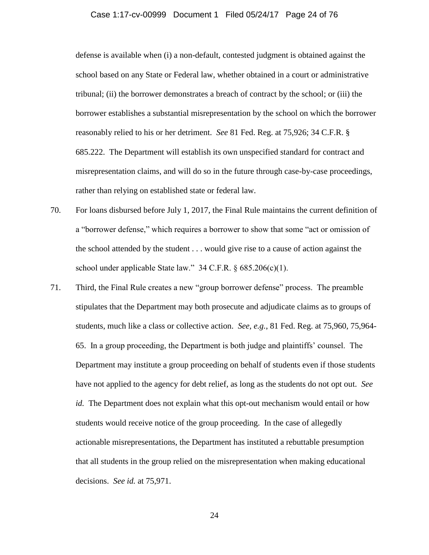## Case 1:17-cv-00999 Document 1 Filed 05/24/17 Page 24 of 76

defense is available when (i) a non-default, contested judgment is obtained against the school based on any State or Federal law, whether obtained in a court or administrative tribunal; (ii) the borrower demonstrates a breach of contract by the school; or (iii) the borrower establishes a substantial misrepresentation by the school on which the borrower reasonably relied to his or her detriment. *See* 81 Fed. Reg. at 75,926; 34 C.F.R. § 685.222. The Department will establish its own unspecified standard for contract and misrepresentation claims, and will do so in the future through case-by-case proceedings, rather than relying on established state or federal law.

- 70. For loans disbursed before July 1, 2017, the Final Rule maintains the current definition of a "borrower defense," which requires a borrower to show that some "act or omission of the school attended by the student . . . would give rise to a cause of action against the school under applicable State law."  $34$  C.F.R. § 685.206(c)(1).
- 71. Third, the Final Rule creates a new "group borrower defense" process. The preamble stipulates that the Department may both prosecute and adjudicate claims as to groups of students, much like a class or collective action. *See, e.g.*, 81 Fed. Reg. at 75,960, 75,964- 65. In a group proceeding, the Department is both judge and plaintiffs' counsel. The Department may institute a group proceeding on behalf of students even if those students have not applied to the agency for debt relief, as long as the students do not opt out. *See id.* The Department does not explain what this opt-out mechanism would entail or how students would receive notice of the group proceeding. In the case of allegedly actionable misrepresentations, the Department has instituted a rebuttable presumption that all students in the group relied on the misrepresentation when making educational decisions. *See id.* at 75,971.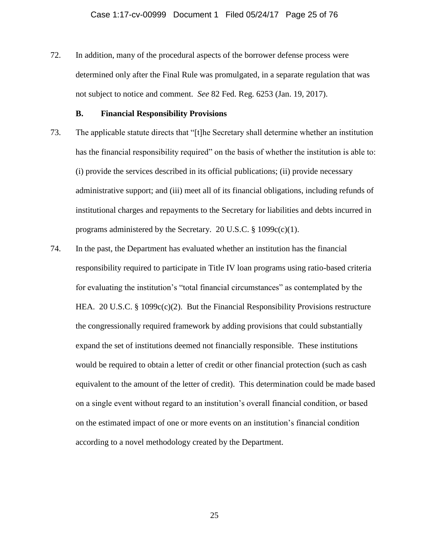72. In addition, many of the procedural aspects of the borrower defense process were determined only after the Final Rule was promulgated, in a separate regulation that was not subject to notice and comment. *See* 82 Fed. Reg. 6253 (Jan. 19, 2017).

### **B. Financial Responsibility Provisions**

- 73. The applicable statute directs that "[t]he Secretary shall determine whether an institution has the financial responsibility required" on the basis of whether the institution is able to: (i) provide the services described in its official publications; (ii) provide necessary administrative support; and (iii) meet all of its financial obligations, including refunds of institutional charges and repayments to the Secretary for liabilities and debts incurred in programs administered by the Secretary. 20 U.S.C.  $\S$  1099c(c)(1).
- 74. In the past, the Department has evaluated whether an institution has the financial responsibility required to participate in Title IV loan programs using ratio-based criteria for evaluating the institution's "total financial circumstances" as contemplated by the HEA. 20 U.S.C. § 1099 $c(c)(2)$ . But the Financial Responsibility Provisions restructure the congressionally required framework by adding provisions that could substantially expand the set of institutions deemed not financially responsible. These institutions would be required to obtain a letter of credit or other financial protection (such as cash equivalent to the amount of the letter of credit). This determination could be made based on a single event without regard to an institution's overall financial condition, or based on the estimated impact of one or more events on an institution's financial condition according to a novel methodology created by the Department.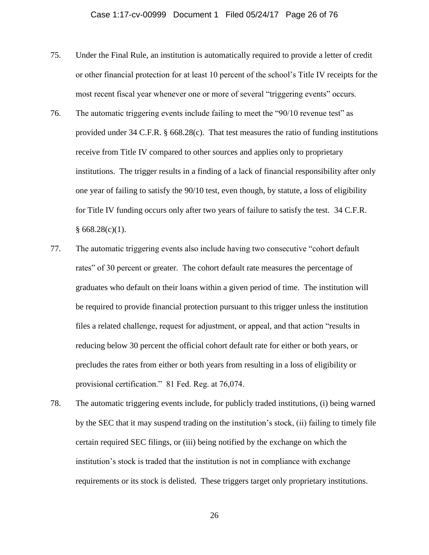- 75. Under the Final Rule, an institution is automatically required to provide a letter of credit or other financial protection for at least 10 percent of the school's Title IV receipts for the most recent fiscal year whenever one or more of several "triggering events" occurs.
- 76. The automatic triggering events include failing to meet the "90/10 revenue test" as provided under 34 C.F.R. § 668.28(c). That test measures the ratio of funding institutions receive from Title IV compared to other sources and applies only to proprietary institutions. The trigger results in a finding of a lack of financial responsibility after only one year of failing to satisfy the 90/10 test, even though, by statute, a loss of eligibility for Title IV funding occurs only after two years of failure to satisfy the test. 34 C.F.R.  $§ 668.28(c)(1).$
- 77. The automatic triggering events also include having two consecutive "cohort default rates" of 30 percent or greater. The cohort default rate measures the percentage of graduates who default on their loans within a given period of time. The institution will be required to provide financial protection pursuant to this trigger unless the institution files a related challenge, request for adjustment, or appeal, and that action "results in reducing below 30 percent the official cohort default rate for either or both years, or precludes the rates from either or both years from resulting in a loss of eligibility or provisional certification." 81 Fed. Reg. at 76,074.
- 78. The automatic triggering events include, for publicly traded institutions, (i) being warned by the SEC that it may suspend trading on the institution's stock, (ii) failing to timely file certain required SEC filings, or (iii) being notified by the exchange on which the institution's stock is traded that the institution is not in compliance with exchange requirements or its stock is delisted. These triggers target only proprietary institutions.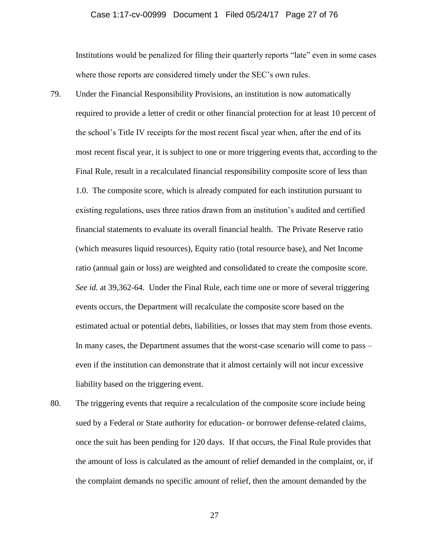### Case 1:17-cv-00999 Document 1 Filed 05/24/17 Page 27 of 76

Institutions would be penalized for filing their quarterly reports "late" even in some cases where those reports are considered timely under the SEC's own rules.

- 79. Under the Financial Responsibility Provisions, an institution is now automatically required to provide a letter of credit or other financial protection for at least 10 percent of the school's Title IV receipts for the most recent fiscal year when, after the end of its most recent fiscal year, it is subject to one or more triggering events that, according to the Final Rule, result in a recalculated financial responsibility composite score of less than 1.0. The composite score, which is already computed for each institution pursuant to existing regulations, uses three ratios drawn from an institution's audited and certified financial statements to evaluate its overall financial health. The Private Reserve ratio (which measures liquid resources), Equity ratio (total resource base), and Net Income ratio (annual gain or loss) are weighted and consolidated to create the composite score. *See id.* at 39,362-64. Under the Final Rule, each time one or more of several triggering events occurs, the Department will recalculate the composite score based on the estimated actual or potential debts, liabilities, or losses that may stem from those events. In many cases, the Department assumes that the worst-case scenario will come to pass – even if the institution can demonstrate that it almost certainly will not incur excessive liability based on the triggering event.
- 80. The triggering events that require a recalculation of the composite score include being sued by a Federal or State authority for education- or borrower defense-related claims, once the suit has been pending for 120 days. If that occurs, the Final Rule provides that the amount of loss is calculated as the amount of relief demanded in the complaint, or, if the complaint demands no specific amount of relief, then the amount demanded by the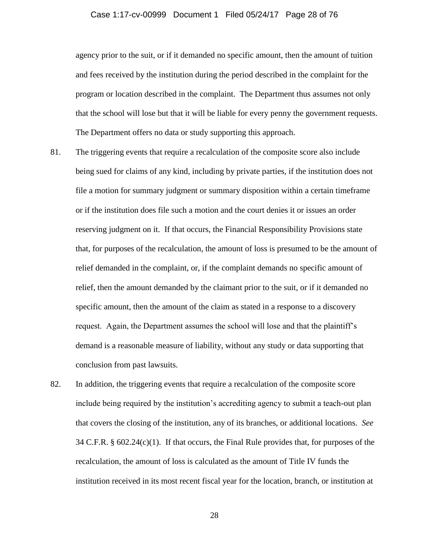### Case 1:17-cv-00999 Document 1 Filed 05/24/17 Page 28 of 76

agency prior to the suit, or if it demanded no specific amount, then the amount of tuition and fees received by the institution during the period described in the complaint for the program or location described in the complaint. The Department thus assumes not only that the school will lose but that it will be liable for every penny the government requests. The Department offers no data or study supporting this approach.

- 81. The triggering events that require a recalculation of the composite score also include being sued for claims of any kind, including by private parties, if the institution does not file a motion for summary judgment or summary disposition within a certain timeframe or if the institution does file such a motion and the court denies it or issues an order reserving judgment on it. If that occurs, the Financial Responsibility Provisions state that, for purposes of the recalculation, the amount of loss is presumed to be the amount of relief demanded in the complaint, or, if the complaint demands no specific amount of relief, then the amount demanded by the claimant prior to the suit, or if it demanded no specific amount, then the amount of the claim as stated in a response to a discovery request. Again, the Department assumes the school will lose and that the plaintiff's demand is a reasonable measure of liability, without any study or data supporting that conclusion from past lawsuits.
- 82. In addition, the triggering events that require a recalculation of the composite score include being required by the institution's accrediting agency to submit a teach-out plan that covers the closing of the institution, any of its branches, or additional locations. *See*  34 C.F.R.  $\S$  602.24(c)(1). If that occurs, the Final Rule provides that, for purposes of the recalculation, the amount of loss is calculated as the amount of Title IV funds the institution received in its most recent fiscal year for the location, branch, or institution at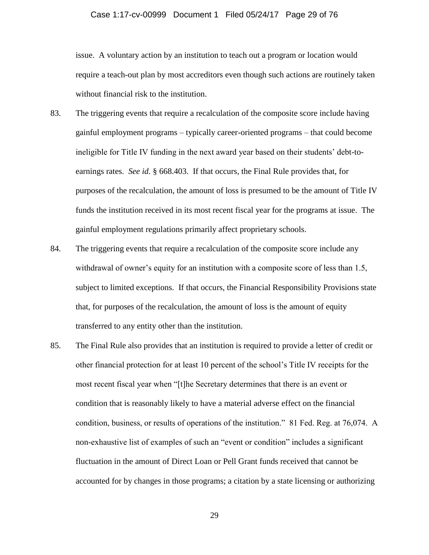# Case 1:17-cv-00999 Document 1 Filed 05/24/17 Page 29 of 76

issue. A voluntary action by an institution to teach out a program or location would require a teach-out plan by most accreditors even though such actions are routinely taken without financial risk to the institution.

- 83. The triggering events that require a recalculation of the composite score include having gainful employment programs – typically career-oriented programs – that could become ineligible for Title IV funding in the next award year based on their students' debt-toearnings rates. *See id.* § 668.403. If that occurs, the Final Rule provides that, for purposes of the recalculation, the amount of loss is presumed to be the amount of Title IV funds the institution received in its most recent fiscal year for the programs at issue. The gainful employment regulations primarily affect proprietary schools.
- 84. The triggering events that require a recalculation of the composite score include any withdrawal of owner's equity for an institution with a composite score of less than 1.5, subject to limited exceptions. If that occurs, the Financial Responsibility Provisions state that, for purposes of the recalculation, the amount of loss is the amount of equity transferred to any entity other than the institution.
- 85. The Final Rule also provides that an institution is required to provide a letter of credit or other financial protection for at least 10 percent of the school's Title IV receipts for the most recent fiscal year when "[t]he Secretary determines that there is an event or condition that is reasonably likely to have a material adverse effect on the financial condition, business, or results of operations of the institution." 81 Fed. Reg. at 76,074. A non-exhaustive list of examples of such an "event or condition" includes a significant fluctuation in the amount of Direct Loan or Pell Grant funds received that cannot be accounted for by changes in those programs; a citation by a state licensing or authorizing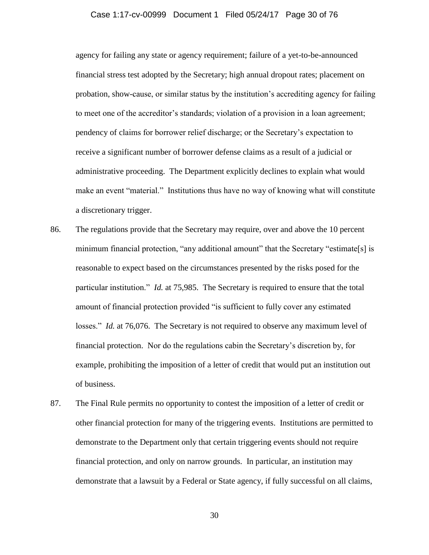### Case 1:17-cv-00999 Document 1 Filed 05/24/17 Page 30 of 76

agency for failing any state or agency requirement; failure of a yet-to-be-announced financial stress test adopted by the Secretary; high annual dropout rates; placement on probation, show-cause, or similar status by the institution's accrediting agency for failing to meet one of the accreditor's standards; violation of a provision in a loan agreement; pendency of claims for borrower relief discharge; or the Secretary's expectation to receive a significant number of borrower defense claims as a result of a judicial or administrative proceeding. The Department explicitly declines to explain what would make an event "material." Institutions thus have no way of knowing what will constitute a discretionary trigger.

- 86. The regulations provide that the Secretary may require, over and above the 10 percent minimum financial protection, "any additional amount" that the Secretary "estimate[s] is reasonable to expect based on the circumstances presented by the risks posed for the particular institution." *Id.* at 75,985. The Secretary is required to ensure that the total amount of financial protection provided "is sufficient to fully cover any estimated losses." *Id.* at 76,076. The Secretary is not required to observe any maximum level of financial protection. Nor do the regulations cabin the Secretary's discretion by, for example, prohibiting the imposition of a letter of credit that would put an institution out of business.
- 87. The Final Rule permits no opportunity to contest the imposition of a letter of credit or other financial protection for many of the triggering events. Institutions are permitted to demonstrate to the Department only that certain triggering events should not require financial protection, and only on narrow grounds. In particular, an institution may demonstrate that a lawsuit by a Federal or State agency, if fully successful on all claims,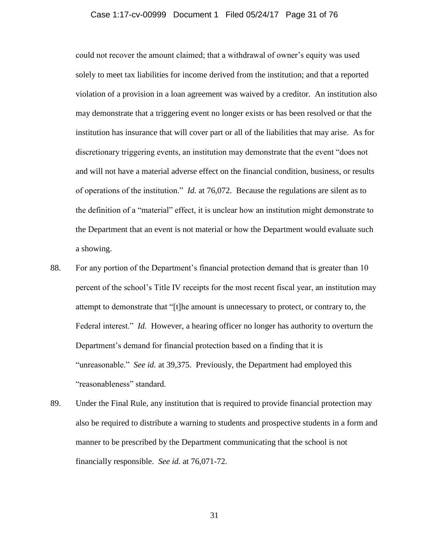### Case 1:17-cv-00999 Document 1 Filed 05/24/17 Page 31 of 76

could not recover the amount claimed; that a withdrawal of owner's equity was used solely to meet tax liabilities for income derived from the institution; and that a reported violation of a provision in a loan agreement was waived by a creditor. An institution also may demonstrate that a triggering event no longer exists or has been resolved or that the institution has insurance that will cover part or all of the liabilities that may arise. As for discretionary triggering events, an institution may demonstrate that the event "does not and will not have a material adverse effect on the financial condition, business, or results of operations of the institution." *Id.* at 76,072. Because the regulations are silent as to the definition of a "material" effect, it is unclear how an institution might demonstrate to the Department that an event is not material or how the Department would evaluate such a showing.

- 88. For any portion of the Department's financial protection demand that is greater than 10 percent of the school's Title IV receipts for the most recent fiscal year, an institution may attempt to demonstrate that "[t]he amount is unnecessary to protect, or contrary to, the Federal interest." *Id.* However, a hearing officer no longer has authority to overturn the Department's demand for financial protection based on a finding that it is "unreasonable." *See id.* at 39,375. Previously, the Department had employed this "reasonableness" standard.
- 89. Under the Final Rule, any institution that is required to provide financial protection may also be required to distribute a warning to students and prospective students in a form and manner to be prescribed by the Department communicating that the school is not financially responsible. *See id.* at 76,071-72.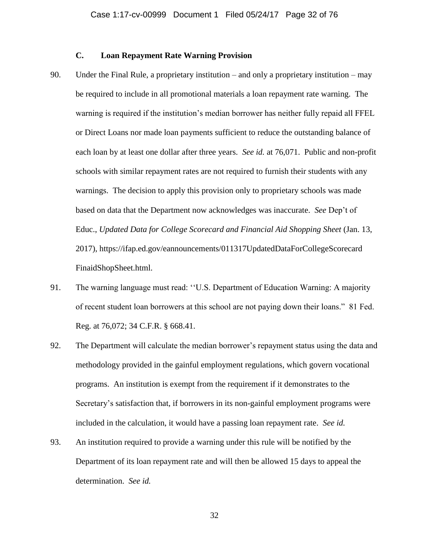## **C. Loan Repayment Rate Warning Provision**

- 90. Under the Final Rule, a proprietary institution and only a proprietary institution may be required to include in all promotional materials a loan repayment rate warning. The warning is required if the institution's median borrower has neither fully repaid all FFEL or Direct Loans nor made loan payments sufficient to reduce the outstanding balance of each loan by at least one dollar after three years. *See id.* at 76,071. Public and non-profit schools with similar repayment rates are not required to furnish their students with any warnings. The decision to apply this provision only to proprietary schools was made based on data that the Department now acknowledges was inaccurate. *See* Dep't of Educ., *Updated Data for College Scorecard and Financial Aid Shopping Sheet* (Jan. 13, 2017), https://ifap.ed.gov/eannouncements/011317UpdatedDataForCollegeScorecard FinaidShopSheet.html.
- 91. The warning language must read: ''U.S. Department of Education Warning: A majority of recent student loan borrowers at this school are not paying down their loans." 81 Fed. Reg. at 76,072; 34 C.F.R. § 668.41.
- 92. The Department will calculate the median borrower's repayment status using the data and methodology provided in the gainful employment regulations, which govern vocational programs. An institution is exempt from the requirement if it demonstrates to the Secretary's satisfaction that, if borrowers in its non-gainful employment programs were included in the calculation, it would have a passing loan repayment rate. *See id.*
- 93. An institution required to provide a warning under this rule will be notified by the Department of its loan repayment rate and will then be allowed 15 days to appeal the determination. *See id.*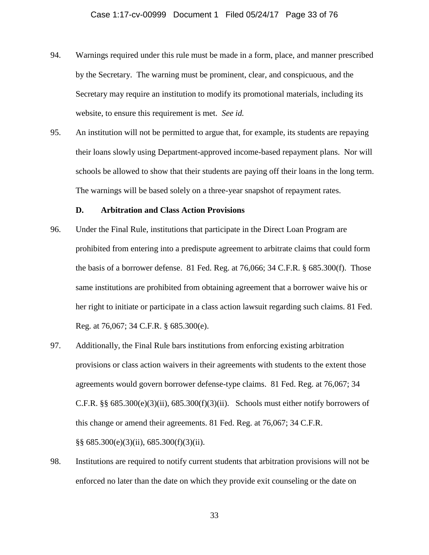- 94. Warnings required under this rule must be made in a form, place, and manner prescribed by the Secretary. The warning must be prominent, clear, and conspicuous, and the Secretary may require an institution to modify its promotional materials, including its website, to ensure this requirement is met. *See id.*
- 95. An institution will not be permitted to argue that, for example, its students are repaying their loans slowly using Department-approved income-based repayment plans. Nor will schools be allowed to show that their students are paying off their loans in the long term. The warnings will be based solely on a three-year snapshot of repayment rates.

### **D. Arbitration and Class Action Provisions**

- 96. Under the Final Rule, institutions that participate in the Direct Loan Program are prohibited from entering into a predispute agreement to arbitrate claims that could form the basis of a borrower defense. 81 Fed. Reg. at 76,066; 34 C.F.R. § 685.300(f). Those same institutions are prohibited from obtaining agreement that a borrower waive his or her right to initiate or participate in a class action lawsuit regarding such claims. 81 Fed. Reg. at 76,067; 34 C.F.R. § 685.300(e).
- 97. Additionally, the Final Rule bars institutions from enforcing existing arbitration provisions or class action waivers in their agreements with students to the extent those agreements would govern borrower defense-type claims. 81 Fed. Reg. at 76,067; 34 C.F.R.  $\S$ § 685.300(e)(3)(ii), 685.300(f)(3)(ii). Schools must either notify borrowers of this change or amend their agreements. 81 Fed. Reg. at 76,067; 34 C.F.R. §§ 685.300(e)(3)(ii), 685.300(f)(3)(ii).
- 98. Institutions are required to notify current students that arbitration provisions will not be enforced no later than the date on which they provide exit counseling or the date on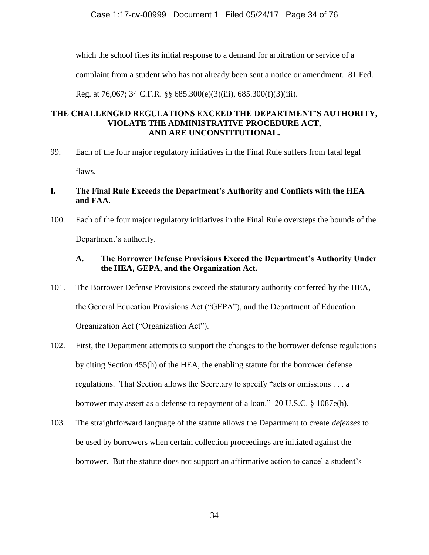which the school files its initial response to a demand for arbitration or service of a

complaint from a student who has not already been sent a notice or amendment. 81 Fed.

Reg. at 76,067; 34 C.F.R. §§ 685.300(e)(3)(iii), 685.300(f)(3)(iii).

## **THE CHALLENGED REGULATIONS EXCEED THE DEPARTMENT'S AUTHORITY, VIOLATE THE ADMINISTRATIVE PROCEDURE ACT, AND ARE UNCONSTITUTIONAL.**

99. Each of the four major regulatory initiatives in the Final Rule suffers from fatal legal flaws.

# **I. The Final Rule Exceeds the Department's Authority and Conflicts with the HEA and FAA.**

100. Each of the four major regulatory initiatives in the Final Rule oversteps the bounds of the Department's authority.

# **A. The Borrower Defense Provisions Exceed the Department's Authority Under the HEA, GEPA, and the Organization Act.**

- 101. The Borrower Defense Provisions exceed the statutory authority conferred by the HEA, the General Education Provisions Act ("GEPA"), and the Department of Education Organization Act ("Organization Act").
- 102. First, the Department attempts to support the changes to the borrower defense regulations by citing Section 455(h) of the HEA, the enabling statute for the borrower defense regulations. That Section allows the Secretary to specify "acts or omissions . . . a borrower may assert as a defense to repayment of a loan." 20 U.S.C. § 1087e(h).
- 103. The straightforward language of the statute allows the Department to create *defenses* to be used by borrowers when certain collection proceedings are initiated against the borrower. But the statute does not support an affirmative action to cancel a student's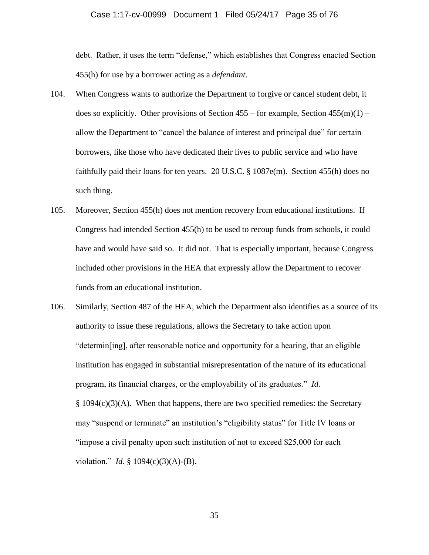### Case 1:17-cv-00999 Document 1 Filed 05/24/17 Page 35 of 76

debt. Rather, it uses the term "defense," which establishes that Congress enacted Section 455(h) for use by a borrower acting as a *defendant*.

- 104. When Congress wants to authorize the Department to forgive or cancel student debt, it does so explicitly. Other provisions of Section  $455 -$  for example, Section  $455(m)(1)$ allow the Department to "cancel the balance of interest and principal due" for certain borrowers, like those who have dedicated their lives to public service and who have faithfully paid their loans for ten years. 20 U.S.C. § 1087e(m). Section 455(h) does no such thing.
- 105. Moreover, Section 455(h) does not mention recovery from educational institutions. If Congress had intended Section 455(h) to be used to recoup funds from schools, it could have and would have said so. It did not. That is especially important, because Congress included other provisions in the HEA that expressly allow the Department to recover funds from an educational institution.
- 106. Similarly, Section 487 of the HEA, which the Department also identifies as a source of its authority to issue these regulations, allows the Secretary to take action upon "determin[ing], after reasonable notice and opportunity for a hearing, that an eligible institution has engaged in substantial misrepresentation of the nature of its educational program, its financial charges, or the employability of its graduates." *Id.*   $§ 1094(c)(3)(A)$ . When that happens, there are two specified remedies: the Secretary may "suspend or terminate" an institution's "eligibility status" for Title IV loans or "impose a civil penalty upon such institution of not to exceed \$25,000 for each violation." *Id.* § 1094(c)(3)(A)-(B).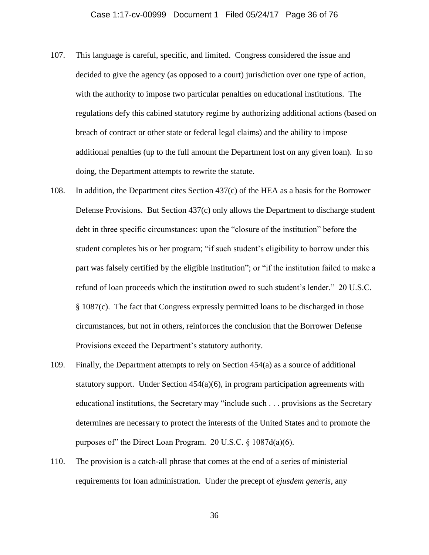- 107. This language is careful, specific, and limited. Congress considered the issue and decided to give the agency (as opposed to a court) jurisdiction over one type of action, with the authority to impose two particular penalties on educational institutions. The regulations defy this cabined statutory regime by authorizing additional actions (based on breach of contract or other state or federal legal claims) and the ability to impose additional penalties (up to the full amount the Department lost on any given loan). In so doing, the Department attempts to rewrite the statute.
- 108. In addition, the Department cites Section 437(c) of the HEA as a basis for the Borrower Defense Provisions. But Section 437(c) only allows the Department to discharge student debt in three specific circumstances: upon the "closure of the institution" before the student completes his or her program; "if such student's eligibility to borrow under this part was falsely certified by the eligible institution"; or "if the institution failed to make a refund of loan proceeds which the institution owed to such student's lender." 20 U.S.C. § 1087(c). The fact that Congress expressly permitted loans to be discharged in those circumstances, but not in others, reinforces the conclusion that the Borrower Defense Provisions exceed the Department's statutory authority.
- 109. Finally, the Department attempts to rely on Section 454(a) as a source of additional statutory support. Under Section 454(a)(6), in program participation agreements with educational institutions, the Secretary may "include such . . . provisions as the Secretary determines are necessary to protect the interests of the United States and to promote the purposes of" the Direct Loan Program. 20 U.S.C.  $\S 1087d(a)(6)$ .
- 110. The provision is a catch-all phrase that comes at the end of a series of ministerial requirements for loan administration. Under the precept of *ejusdem generis*, any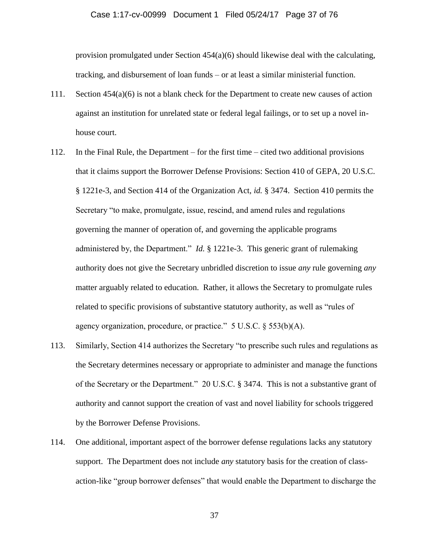### Case 1:17-cv-00999 Document 1 Filed 05/24/17 Page 37 of 76

provision promulgated under Section 454(a)(6) should likewise deal with the calculating, tracking, and disbursement of loan funds – or at least a similar ministerial function.

- 111. Section 454(a)(6) is not a blank check for the Department to create new causes of action against an institution for unrelated state or federal legal failings, or to set up a novel inhouse court.
- 112. In the Final Rule, the Department for the first time cited two additional provisions that it claims support the Borrower Defense Provisions: Section 410 of GEPA, 20 U.S.C. § 1221e-3, and Section 414 of the Organization Act, *id.* § 3474. Section 410 permits the Secretary "to make, promulgate, issue, rescind, and amend rules and regulations governing the manner of operation of, and governing the applicable programs administered by, the Department." *Id.* § 1221e-3. This generic grant of rulemaking authority does not give the Secretary unbridled discretion to issue *any* rule governing *any* matter arguably related to education. Rather, it allows the Secretary to promulgate rules related to specific provisions of substantive statutory authority, as well as "rules of agency organization, procedure, or practice."  $5 \text{ U.S.C.} \$  $553(b)(\text{A})$ .
- 113. Similarly, Section 414 authorizes the Secretary "to prescribe such rules and regulations as the Secretary determines necessary or appropriate to administer and manage the functions of the Secretary or the Department." 20 U.S.C*.* § 3474. This is not a substantive grant of authority and cannot support the creation of vast and novel liability for schools triggered by the Borrower Defense Provisions.
- 114. One additional, important aspect of the borrower defense regulations lacks any statutory support. The Department does not include *any* statutory basis for the creation of classaction-like "group borrower defenses" that would enable the Department to discharge the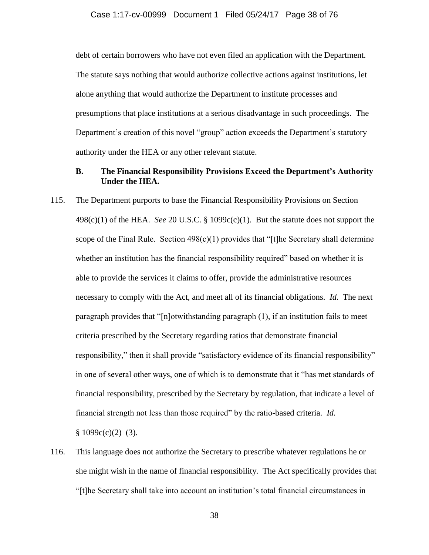debt of certain borrowers who have not even filed an application with the Department. The statute says nothing that would authorize collective actions against institutions, let alone anything that would authorize the Department to institute processes and presumptions that place institutions at a serious disadvantage in such proceedings. The Department's creation of this novel "group" action exceeds the Department's statutory authority under the HEA or any other relevant statute.

## **B. The Financial Responsibility Provisions Exceed the Department's Authority Under the HEA.**

- 115. The Department purports to base the Financial Responsibility Provisions on Section 498(c)(1) of the HEA. *See* 20 U.S.C. § 1099c(c)(1). But the statute does not support the scope of the Final Rule. Section  $498(c)(1)$  provides that "[t]he Secretary shall determine whether an institution has the financial responsibility required" based on whether it is able to provide the services it claims to offer, provide the administrative resources necessary to comply with the Act, and meet all of its financial obligations. *Id.* The next paragraph provides that "[n]otwithstanding paragraph (1), if an institution fails to meet criteria prescribed by the Secretary regarding ratios that demonstrate financial responsibility," then it shall provide "satisfactory evidence of its financial responsibility" in one of several other ways, one of which is to demonstrate that it "has met standards of financial responsibility, prescribed by the Secretary by regulation, that indicate a level of financial strength not less than those required" by the ratio-based criteria. *Id.*  $§ 1099c(c)(2)–(3).$
- 116. This language does not authorize the Secretary to prescribe whatever regulations he or she might wish in the name of financial responsibility. The Act specifically provides that "[t]he Secretary shall take into account an institution's total financial circumstances in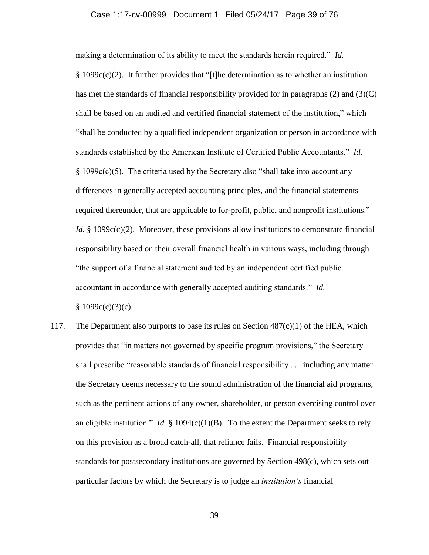## Case 1:17-cv-00999 Document 1 Filed 05/24/17 Page 39 of 76

making a determination of its ability to meet the standards herein required." *Id.* § 1099c(c)(2). It further provides that "[t]he determination as to whether an institution has met the standards of financial responsibility provided for in paragraphs  $(2)$  and  $(3)(C)$ shall be based on an audited and certified financial statement of the institution," which "shall be conducted by a qualified independent organization or person in accordance with standards established by the American Institute of Certified Public Accountants." *Id.* § 1099c(c)(5). The criteria used by the Secretary also "shall take into account any differences in generally accepted accounting principles, and the financial statements required thereunder, that are applicable to for-profit, public, and nonprofit institutions." *Id.* § 1099c(c)(2). Moreover, these provisions allow institutions to demonstrate financial responsibility based on their overall financial health in various ways, including through "the support of a financial statement audited by an independent certified public accountant in accordance with generally accepted auditing standards." *Id.*  $§ 1099c(c)(3)(c).$ 

117. The Department also purports to base its rules on Section  $487(c)(1)$  of the HEA, which provides that "in matters not governed by specific program provisions," the Secretary shall prescribe "reasonable standards of financial responsibility . . . including any matter the Secretary deems necessary to the sound administration of the financial aid programs, such as the pertinent actions of any owner, shareholder, or person exercising control over an eligible institution." *Id.*  $\S$  1094(c)(1)(B). To the extent the Department seeks to rely on this provision as a broad catch-all, that reliance fails. Financial responsibility standards for postsecondary institutions are governed by Section 498(c), which sets out particular factors by which the Secretary is to judge an *institution's* financial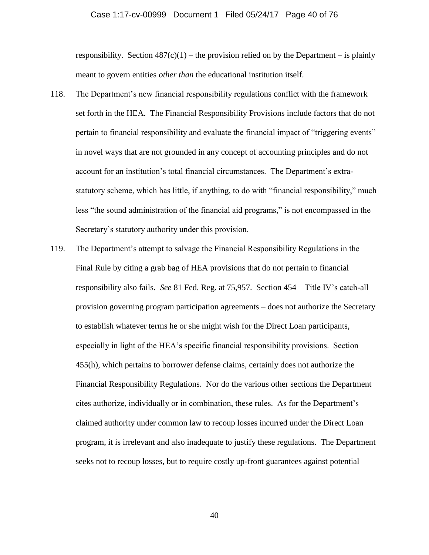### Case 1:17-cv-00999 Document 1 Filed 05/24/17 Page 40 of 76

responsibility. Section  $487(c)(1)$  – the provision relied on by the Department – is plainly meant to govern entities *other than* the educational institution itself.

- 118. The Department's new financial responsibility regulations conflict with the framework set forth in the HEA. The Financial Responsibility Provisions include factors that do not pertain to financial responsibility and evaluate the financial impact of "triggering events" in novel ways that are not grounded in any concept of accounting principles and do not account for an institution's total financial circumstances. The Department's extrastatutory scheme, which has little, if anything, to do with "financial responsibility," much less "the sound administration of the financial aid programs," is not encompassed in the Secretary's statutory authority under this provision.
- 119. The Department's attempt to salvage the Financial Responsibility Regulations in the Final Rule by citing a grab bag of HEA provisions that do not pertain to financial responsibility also fails. *See* 81 Fed. Reg. at 75,957. Section 454 – Title IV's catch-all provision governing program participation agreements – does not authorize the Secretary to establish whatever terms he or she might wish for the Direct Loan participants, especially in light of the HEA's specific financial responsibility provisions. Section 455(h), which pertains to borrower defense claims, certainly does not authorize the Financial Responsibility Regulations. Nor do the various other sections the Department cites authorize, individually or in combination, these rules. As for the Department's claimed authority under common law to recoup losses incurred under the Direct Loan program, it is irrelevant and also inadequate to justify these regulations. The Department seeks not to recoup losses, but to require costly up-front guarantees against potential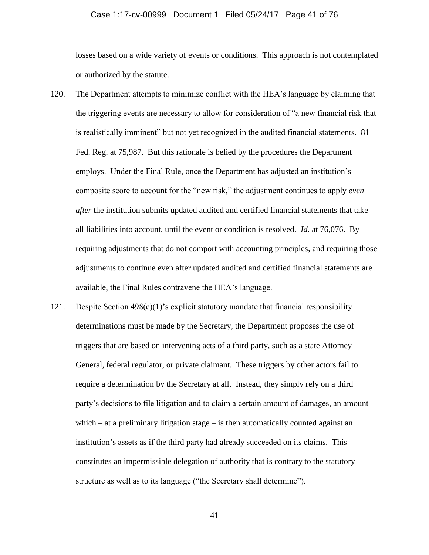## Case 1:17-cv-00999 Document 1 Filed 05/24/17 Page 41 of 76

losses based on a wide variety of events or conditions. This approach is not contemplated or authorized by the statute.

- 120. The Department attempts to minimize conflict with the HEA's language by claiming that the triggering events are necessary to allow for consideration of "a new financial risk that is realistically imminent" but not yet recognized in the audited financial statements. 81 Fed. Reg. at 75,987. But this rationale is belied by the procedures the Department employs. Under the Final Rule, once the Department has adjusted an institution's composite score to account for the "new risk," the adjustment continues to apply *even after* the institution submits updated audited and certified financial statements that take all liabilities into account, until the event or condition is resolved. *Id.* at 76,076. By requiring adjustments that do not comport with accounting principles, and requiring those adjustments to continue even after updated audited and certified financial statements are available, the Final Rules contravene the HEA's language.
- 121. Despite Section  $498(c)(1)$ 's explicit statutory mandate that financial responsibility determinations must be made by the Secretary, the Department proposes the use of triggers that are based on intervening acts of a third party, such as a state Attorney General, federal regulator, or private claimant. These triggers by other actors fail to require a determination by the Secretary at all. Instead, they simply rely on a third party's decisions to file litigation and to claim a certain amount of damages, an amount which – at a preliminary litigation stage – is then automatically counted against an institution's assets as if the third party had already succeeded on its claims. This constitutes an impermissible delegation of authority that is contrary to the statutory structure as well as to its language ("the Secretary shall determine").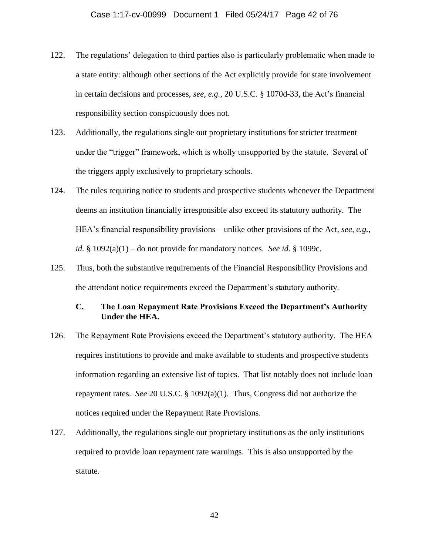- 122. The regulations' delegation to third parties also is particularly problematic when made to a state entity: although other sections of the Act explicitly provide for state involvement in certain decisions and processes, *see, e.g.*, 20 U.S.C. § 1070d-33, the Act's financial responsibility section conspicuously does not.
- 123. Additionally, the regulations single out proprietary institutions for stricter treatment under the "trigger" framework, which is wholly unsupported by the statute. Several of the triggers apply exclusively to proprietary schools.
- 124. The rules requiring notice to students and prospective students whenever the Department deems an institution financially irresponsible also exceed its statutory authority. The HEA's financial responsibility provisions – unlike other provisions of the Act, *see, e.g.*, *id.* § 1092(a)(1) – do not provide for mandatory notices. *See id.* § 1099c.
- 125. Thus, both the substantive requirements of the Financial Responsibility Provisions and the attendant notice requirements exceed the Department's statutory authority.

# **C. The Loan Repayment Rate Provisions Exceed the Department's Authority Under the HEA.**

- 126. The Repayment Rate Provisions exceed the Department's statutory authority. The HEA requires institutions to provide and make available to students and prospective students information regarding an extensive list of topics. That list notably does not include loan repayment rates. *See* 20 U.S.C. § 1092(a)(1). Thus, Congress did not authorize the notices required under the Repayment Rate Provisions.
- 127. Additionally, the regulations single out proprietary institutions as the only institutions required to provide loan repayment rate warnings. This is also unsupported by the statute.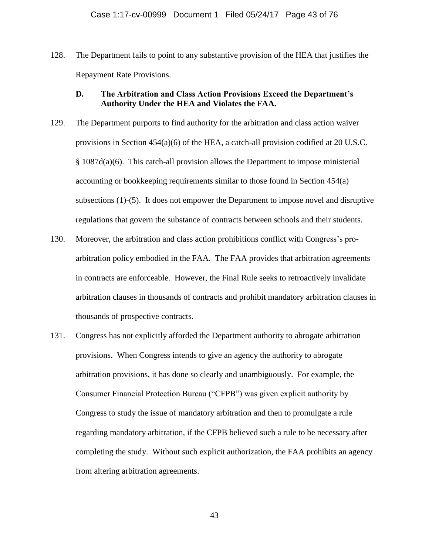128. The Department fails to point to any substantive provision of the HEA that justifies the Repayment Rate Provisions.

# **D. The Arbitration and Class Action Provisions Exceed the Department's Authority Under the HEA and Violates the FAA.**

- 129. The Department purports to find authority for the arbitration and class action waiver provisions in Section 454(a)(6) of the HEA, a catch-all provision codified at 20 U.S.C. § 1087d(a)(6). This catch-all provision allows the Department to impose ministerial accounting or bookkeeping requirements similar to those found in Section 454(a) subsections (1)-(5). It does not empower the Department to impose novel and disruptive regulations that govern the substance of contracts between schools and their students.
- 130. Moreover, the arbitration and class action prohibitions conflict with Congress's proarbitration policy embodied in the FAA. The FAA provides that arbitration agreements in contracts are enforceable. However, the Final Rule seeks to retroactively invalidate arbitration clauses in thousands of contracts and prohibit mandatory arbitration clauses in thousands of prospective contracts.
- 131. Congress has not explicitly afforded the Department authority to abrogate arbitration provisions. When Congress intends to give an agency the authority to abrogate arbitration provisions, it has done so clearly and unambiguously. For example, the Consumer Financial Protection Bureau ("CFPB") was given explicit authority by Congress to study the issue of mandatory arbitration and then to promulgate a rule regarding mandatory arbitration, if the CFPB believed such a rule to be necessary after completing the study. Without such explicit authorization, the FAA prohibits an agency from altering arbitration agreements.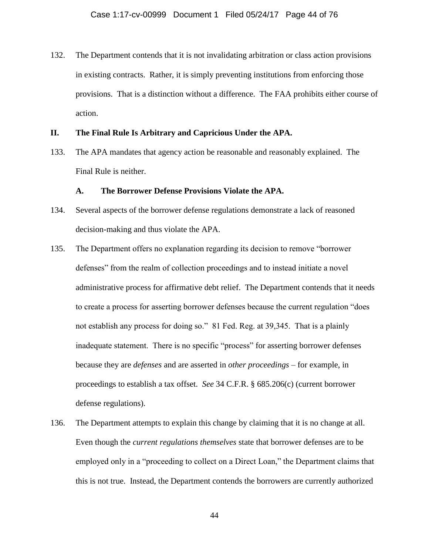132. The Department contends that it is not invalidating arbitration or class action provisions in existing contracts. Rather, it is simply preventing institutions from enforcing those provisions. That is a distinction without a difference. The FAA prohibits either course of action.

## **II. The Final Rule Is Arbitrary and Capricious Under the APA.**

133. The APA mandates that agency action be reasonable and reasonably explained. The Final Rule is neither.

## **A. The Borrower Defense Provisions Violate the APA.**

- 134. Several aspects of the borrower defense regulations demonstrate a lack of reasoned decision-making and thus violate the APA.
- 135. The Department offers no explanation regarding its decision to remove "borrower defenses" from the realm of collection proceedings and to instead initiate a novel administrative process for affirmative debt relief. The Department contends that it needs to create a process for asserting borrower defenses because the current regulation "does not establish any process for doing so." 81 Fed. Reg. at 39,345. That is a plainly inadequate statement. There is no specific "process" for asserting borrower defenses because they are *defenses* and are asserted in *other proceedings* – for example, in proceedings to establish a tax offset. *See* 34 C.F.R. § 685.206(c) (current borrower defense regulations).
- 136. The Department attempts to explain this change by claiming that it is no change at all. Even though the *current regulations themselves* state that borrower defenses are to be employed only in a "proceeding to collect on a Direct Loan," the Department claims that this is not true. Instead, the Department contends the borrowers are currently authorized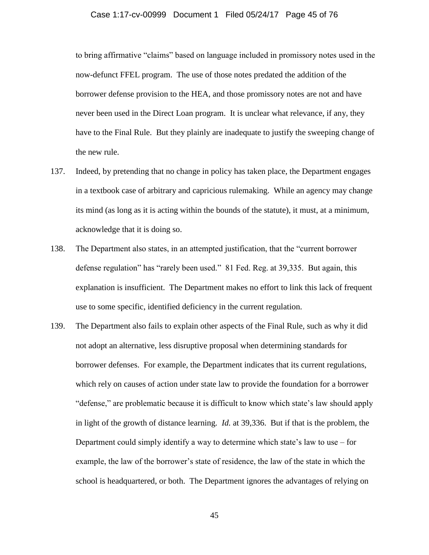## Case 1:17-cv-00999 Document 1 Filed 05/24/17 Page 45 of 76

to bring affirmative "claims" based on language included in promissory notes used in the now-defunct FFEL program. The use of those notes predated the addition of the borrower defense provision to the HEA, and those promissory notes are not and have never been used in the Direct Loan program. It is unclear what relevance, if any, they have to the Final Rule. But they plainly are inadequate to justify the sweeping change of the new rule.

- 137. Indeed, by pretending that no change in policy has taken place, the Department engages in a textbook case of arbitrary and capricious rulemaking. While an agency may change its mind (as long as it is acting within the bounds of the statute), it must, at a minimum, acknowledge that it is doing so.
- 138. The Department also states, in an attempted justification, that the "current borrower defense regulation" has "rarely been used." 81 Fed. Reg. at 39,335. But again, this explanation is insufficient. The Department makes no effort to link this lack of frequent use to some specific, identified deficiency in the current regulation.
- 139. The Department also fails to explain other aspects of the Final Rule, such as why it did not adopt an alternative, less disruptive proposal when determining standards for borrower defenses. For example, the Department indicates that its current regulations, which rely on causes of action under state law to provide the foundation for a borrower "defense," are problematic because it is difficult to know which state's law should apply in light of the growth of distance learning. *Id.* at 39,336. But if that is the problem, the Department could simply identify a way to determine which state's law to use – for example, the law of the borrower's state of residence, the law of the state in which the school is headquartered, or both. The Department ignores the advantages of relying on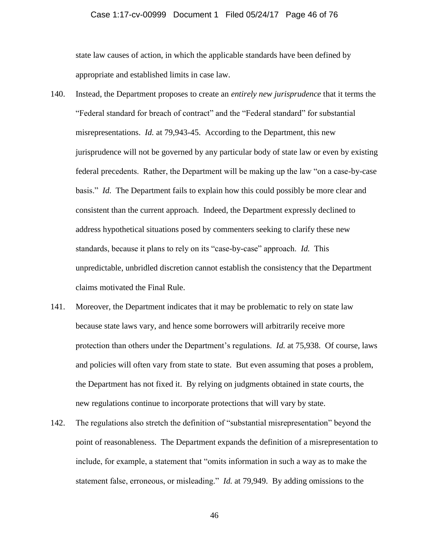## Case 1:17-cv-00999 Document 1 Filed 05/24/17 Page 46 of 76

state law causes of action, in which the applicable standards have been defined by appropriate and established limits in case law.

- 140. Instead, the Department proposes to create an *entirely new jurisprudence* that it terms the "Federal standard for breach of contract" and the "Federal standard" for substantial misrepresentations. *Id.* at 79,943-45. According to the Department, this new jurisprudence will not be governed by any particular body of state law or even by existing federal precedents. Rather, the Department will be making up the law "on a case-by-case basis." *Id.* The Department fails to explain how this could possibly be more clear and consistent than the current approach. Indeed, the Department expressly declined to address hypothetical situations posed by commenters seeking to clarify these new standards, because it plans to rely on its "case-by-case" approach. *Id.* This unpredictable, unbridled discretion cannot establish the consistency that the Department claims motivated the Final Rule.
- 141. Moreover, the Department indicates that it may be problematic to rely on state law because state laws vary, and hence some borrowers will arbitrarily receive more protection than others under the Department's regulations. *Id.* at 75,938. Of course, laws and policies will often vary from state to state. But even assuming that poses a problem, the Department has not fixed it. By relying on judgments obtained in state courts, the new regulations continue to incorporate protections that will vary by state.
- 142. The regulations also stretch the definition of "substantial misrepresentation" beyond the point of reasonableness. The Department expands the definition of a misrepresentation to include, for example, a statement that "omits information in such a way as to make the statement false, erroneous, or misleading." *Id.* at 79,949. By adding omissions to the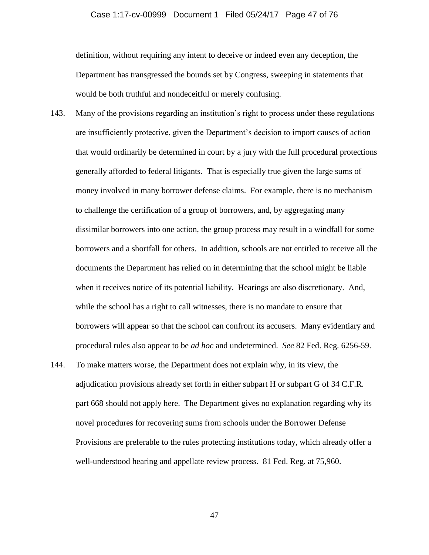### Case 1:17-cv-00999 Document 1 Filed 05/24/17 Page 47 of 76

definition, without requiring any intent to deceive or indeed even any deception, the Department has transgressed the bounds set by Congress, sweeping in statements that would be both truthful and nondeceitful or merely confusing.

- 143. Many of the provisions regarding an institution's right to process under these regulations are insufficiently protective, given the Department's decision to import causes of action that would ordinarily be determined in court by a jury with the full procedural protections generally afforded to federal litigants. That is especially true given the large sums of money involved in many borrower defense claims. For example, there is no mechanism to challenge the certification of a group of borrowers, and, by aggregating many dissimilar borrowers into one action, the group process may result in a windfall for some borrowers and a shortfall for others. In addition, schools are not entitled to receive all the documents the Department has relied on in determining that the school might be liable when it receives notice of its potential liability. Hearings are also discretionary. And, while the school has a right to call witnesses, there is no mandate to ensure that borrowers will appear so that the school can confront its accusers. Many evidentiary and procedural rules also appear to be *ad hoc* and undetermined. *See* 82 Fed. Reg. 6256-59.
- 144. To make matters worse, the Department does not explain why, in its view, the adjudication provisions already set forth in either subpart H or subpart G of 34 C.F.R. part 668 should not apply here. The Department gives no explanation regarding why its novel procedures for recovering sums from schools under the Borrower Defense Provisions are preferable to the rules protecting institutions today, which already offer a well-understood hearing and appellate review process. 81 Fed. Reg. at 75,960.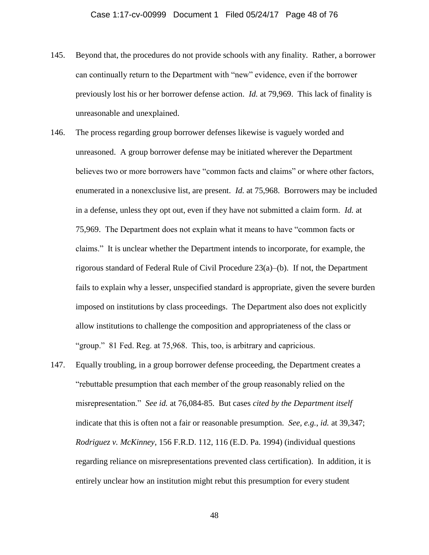- 145. Beyond that, the procedures do not provide schools with any finality. Rather, a borrower can continually return to the Department with "new" evidence, even if the borrower previously lost his or her borrower defense action. *Id.* at 79,969. This lack of finality is unreasonable and unexplained.
- 146. The process regarding group borrower defenses likewise is vaguely worded and unreasoned. A group borrower defense may be initiated wherever the Department believes two or more borrowers have "common facts and claims" or where other factors, enumerated in a nonexclusive list, are present. *Id.* at 75,968. Borrowers may be included in a defense, unless they opt out, even if they have not submitted a claim form. *Id.* at 75,969.The Department does not explain what it means to have "common facts or claims." It is unclear whether the Department intends to incorporate, for example, the rigorous standard of Federal Rule of Civil Procedure 23(a)–(b). If not, the Department fails to explain why a lesser, unspecified standard is appropriate, given the severe burden imposed on institutions by class proceedings. The Department also does not explicitly allow institutions to challenge the composition and appropriateness of the class or "group." 81 Fed. Reg. at 75,968. This, too, is arbitrary and capricious.
- 147. Equally troubling, in a group borrower defense proceeding, the Department creates a "rebuttable presumption that each member of the group reasonably relied on the misrepresentation." *See id.* at 76,084-85. But cases *cited by the Department itself* indicate that this is often not a fair or reasonable presumption. *See, e.g.*, *id.* at 39,347; *Rodriguez v. McKinney*, 156 F.R.D. 112, 116 (E.D. Pa. 1994) (individual questions regarding reliance on misrepresentations prevented class certification). In addition, it is entirely unclear how an institution might rebut this presumption for every student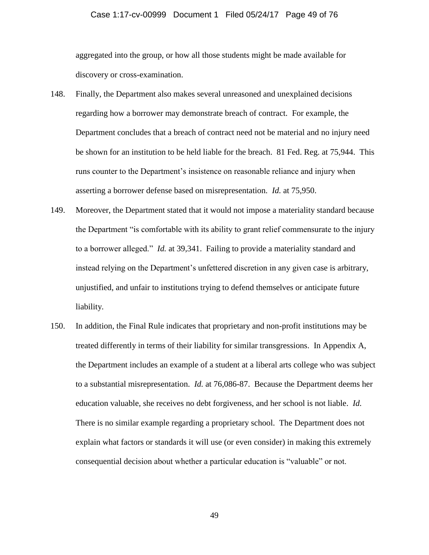### Case 1:17-cv-00999 Document 1 Filed 05/24/17 Page 49 of 76

aggregated into the group, or how all those students might be made available for discovery or cross-examination.

- 148. Finally, the Department also makes several unreasoned and unexplained decisions regarding how a borrower may demonstrate breach of contract. For example, the Department concludes that a breach of contract need not be material and no injury need be shown for an institution to be held liable for the breach. 81 Fed. Reg. at 75,944. This runs counter to the Department's insistence on reasonable reliance and injury when asserting a borrower defense based on misrepresentation. *Id.* at 75,950.
- 149. Moreover, the Department stated that it would not impose a materiality standard because the Department "is comfortable with its ability to grant relief commensurate to the injury to a borrower alleged." *Id.* at 39,341. Failing to provide a materiality standard and instead relying on the Department's unfettered discretion in any given case is arbitrary, unjustified, and unfair to institutions trying to defend themselves or anticipate future liability.
- 150. In addition, the Final Rule indicates that proprietary and non-profit institutions may be treated differently in terms of their liability for similar transgressions. In Appendix A, the Department includes an example of a student at a liberal arts college who was subject to a substantial misrepresentation. *Id.* at 76,086-87. Because the Department deems her education valuable, she receives no debt forgiveness, and her school is not liable. *Id.*  There is no similar example regarding a proprietary school. The Department does not explain what factors or standards it will use (or even consider) in making this extremely consequential decision about whether a particular education is "valuable" or not.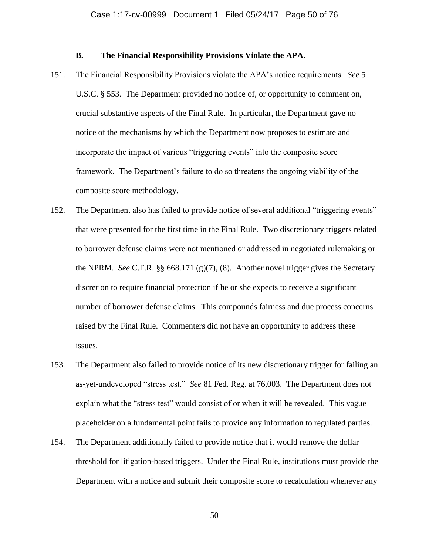## **B. The Financial Responsibility Provisions Violate the APA.**

- 151. The Financial Responsibility Provisions violate the APA's notice requirements. *See* 5 U.S.C. § 553. The Department provided no notice of, or opportunity to comment on, crucial substantive aspects of the Final Rule. In particular, the Department gave no notice of the mechanisms by which the Department now proposes to estimate and incorporate the impact of various "triggering events" into the composite score framework. The Department's failure to do so threatens the ongoing viability of the composite score methodology.
- 152. The Department also has failed to provide notice of several additional "triggering events" that were presented for the first time in the Final Rule. Two discretionary triggers related to borrower defense claims were not mentioned or addressed in negotiated rulemaking or the NPRM. *See* C.F.R. §§ 668.171 (g)(7), (8). Another novel trigger gives the Secretary discretion to require financial protection if he or she expects to receive a significant number of borrower defense claims. This compounds fairness and due process concerns raised by the Final Rule. Commenters did not have an opportunity to address these issues.
- 153. The Department also failed to provide notice of its new discretionary trigger for failing an as-yet-undeveloped "stress test." *See* 81 Fed. Reg. at 76,003. The Department does not explain what the "stress test" would consist of or when it will be revealed. This vague placeholder on a fundamental point fails to provide any information to regulated parties.
- 154. The Department additionally failed to provide notice that it would remove the dollar threshold for litigation-based triggers. Under the Final Rule, institutions must provide the Department with a notice and submit their composite score to recalculation whenever any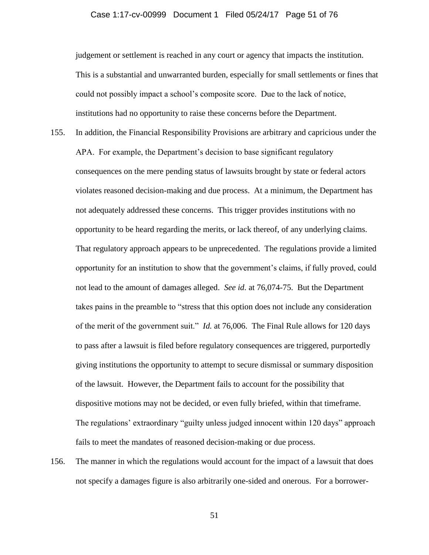### Case 1:17-cv-00999 Document 1 Filed 05/24/17 Page 51 of 76

judgement or settlement is reached in any court or agency that impacts the institution. This is a substantial and unwarranted burden, especially for small settlements or fines that could not possibly impact a school's composite score. Due to the lack of notice, institutions had no opportunity to raise these concerns before the Department.

- 155. In addition, the Financial Responsibility Provisions are arbitrary and capricious under the APA. For example, the Department's decision to base significant regulatory consequences on the mere pending status of lawsuits brought by state or federal actors violates reasoned decision-making and due process. At a minimum, the Department has not adequately addressed these concerns. This trigger provides institutions with no opportunity to be heard regarding the merits, or lack thereof, of any underlying claims. That regulatory approach appears to be unprecedented. The regulations provide a limited opportunity for an institution to show that the government's claims, if fully proved, could not lead to the amount of damages alleged. *See id.* at 76,074-75. But the Department takes pains in the preamble to "stress that this option does not include any consideration of the merit of the government suit." *Id.* at 76,006. The Final Rule allows for 120 days to pass after a lawsuit is filed before regulatory consequences are triggered, purportedly giving institutions the opportunity to attempt to secure dismissal or summary disposition of the lawsuit. However, the Department fails to account for the possibility that dispositive motions may not be decided, or even fully briefed, within that timeframe. The regulations' extraordinary "guilty unless judged innocent within 120 days" approach fails to meet the mandates of reasoned decision-making or due process.
- 156. The manner in which the regulations would account for the impact of a lawsuit that does not specify a damages figure is also arbitrarily one-sided and onerous. For a borrower-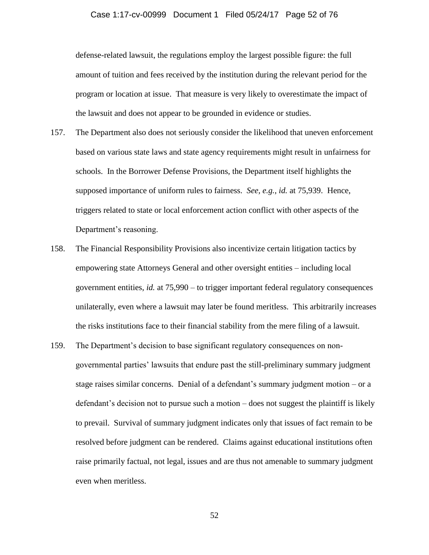## Case 1:17-cv-00999 Document 1 Filed 05/24/17 Page 52 of 76

defense-related lawsuit, the regulations employ the largest possible figure: the full amount of tuition and fees received by the institution during the relevant period for the program or location at issue. That measure is very likely to overestimate the impact of the lawsuit and does not appear to be grounded in evidence or studies.

- 157. The Department also does not seriously consider the likelihood that uneven enforcement based on various state laws and state agency requirements might result in unfairness for schools. In the Borrower Defense Provisions, the Department itself highlights the supposed importance of uniform rules to fairness. *See, e.g.*, *id.* at 75,939. Hence, triggers related to state or local enforcement action conflict with other aspects of the Department's reasoning.
- 158. The Financial Responsibility Provisions also incentivize certain litigation tactics by empowering state Attorneys General and other oversight entities – including local government entities, *id.* at 75,990 – to trigger important federal regulatory consequences unilaterally, even where a lawsuit may later be found meritless. This arbitrarily increases the risks institutions face to their financial stability from the mere filing of a lawsuit.
- 159. The Department's decision to base significant regulatory consequences on nongovernmental parties' lawsuits that endure past the still-preliminary summary judgment stage raises similar concerns. Denial of a defendant's summary judgment motion – or a defendant's decision not to pursue such a motion – does not suggest the plaintiff is likely to prevail. Survival of summary judgment indicates only that issues of fact remain to be resolved before judgment can be rendered. Claims against educational institutions often raise primarily factual, not legal, issues and are thus not amenable to summary judgment even when meritless.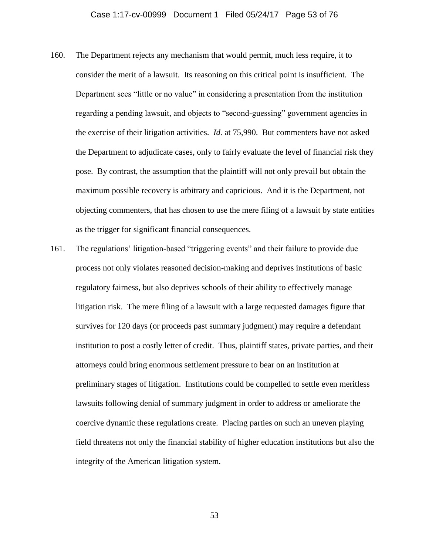- 160. The Department rejects any mechanism that would permit, much less require, it to consider the merit of a lawsuit. Its reasoning on this critical point is insufficient. The Department sees "little or no value" in considering a presentation from the institution regarding a pending lawsuit, and objects to "second-guessing" government agencies in the exercise of their litigation activities. *Id.* at 75,990. But commenters have not asked the Department to adjudicate cases, only to fairly evaluate the level of financial risk they pose. By contrast, the assumption that the plaintiff will not only prevail but obtain the maximum possible recovery is arbitrary and capricious. And it is the Department, not objecting commenters, that has chosen to use the mere filing of a lawsuit by state entities as the trigger for significant financial consequences.
- 161. The regulations' litigation-based "triggering events" and their failure to provide due process not only violates reasoned decision-making and deprives institutions of basic regulatory fairness, but also deprives schools of their ability to effectively manage litigation risk. The mere filing of a lawsuit with a large requested damages figure that survives for 120 days (or proceeds past summary judgment) may require a defendant institution to post a costly letter of credit. Thus, plaintiff states, private parties, and their attorneys could bring enormous settlement pressure to bear on an institution at preliminary stages of litigation. Institutions could be compelled to settle even meritless lawsuits following denial of summary judgment in order to address or ameliorate the coercive dynamic these regulations create. Placing parties on such an uneven playing field threatens not only the financial stability of higher education institutions but also the integrity of the American litigation system.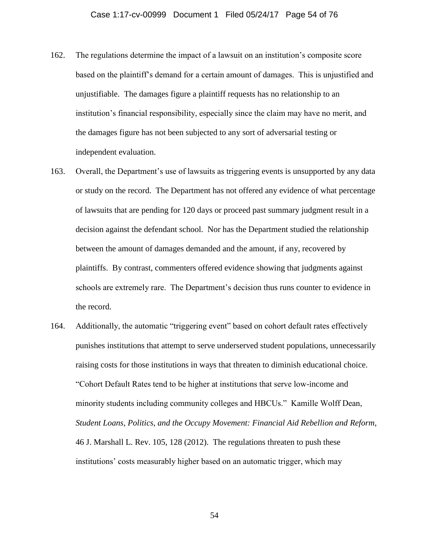- 162. The regulations determine the impact of a lawsuit on an institution's composite score based on the plaintiff's demand for a certain amount of damages. This is unjustified and unjustifiable. The damages figure a plaintiff requests has no relationship to an institution's financial responsibility, especially since the claim may have no merit, and the damages figure has not been subjected to any sort of adversarial testing or independent evaluation.
- 163. Overall, the Department's use of lawsuits as triggering events is unsupported by any data or study on the record. The Department has not offered any evidence of what percentage of lawsuits that are pending for 120 days or proceed past summary judgment result in a decision against the defendant school. Nor has the Department studied the relationship between the amount of damages demanded and the amount, if any, recovered by plaintiffs. By contrast, commenters offered evidence showing that judgments against schools are extremely rare. The Department's decision thus runs counter to evidence in the record.
- 164. Additionally, the automatic "triggering event" based on cohort default rates effectively punishes institutions that attempt to serve underserved student populations, unnecessarily raising costs for those institutions in ways that threaten to diminish educational choice. "Cohort Default Rates tend to be higher at institutions that serve low-income and minority students including community colleges and HBCUs." Kamille Wolff Dean, *Student Loans, Politics, and the Occupy Movement: Financial Aid Rebellion and Reform*, 46 J. Marshall L. Rev. 105, 128 (2012). The regulations threaten to push these institutions' costs measurably higher based on an automatic trigger, which may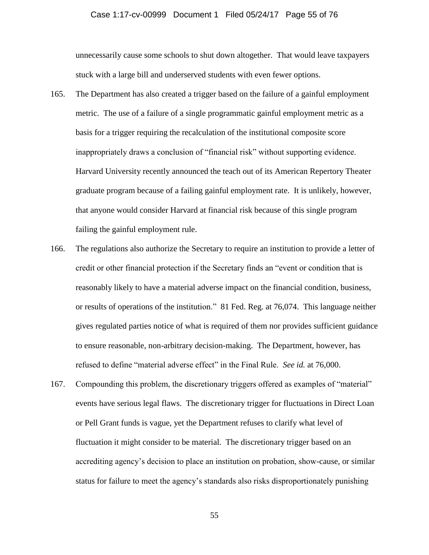### Case 1:17-cv-00999 Document 1 Filed 05/24/17 Page 55 of 76

unnecessarily cause some schools to shut down altogether. That would leave taxpayers stuck with a large bill and underserved students with even fewer options.

- 165. The Department has also created a trigger based on the failure of a gainful employment metric. The use of a failure of a single programmatic gainful employment metric as a basis for a trigger requiring the recalculation of the institutional composite score inappropriately draws a conclusion of "financial risk" without supporting evidence. Harvard University recently announced the teach out of its American Repertory Theater graduate program because of a failing gainful employment rate. It is unlikely, however, that anyone would consider Harvard at financial risk because of this single program failing the gainful employment rule.
- 166. The regulations also authorize the Secretary to require an institution to provide a letter of credit or other financial protection if the Secretary finds an "event or condition that is reasonably likely to have a material adverse impact on the financial condition, business, or results of operations of the institution." 81 Fed. Reg. at 76,074. This language neither gives regulated parties notice of what is required of them nor provides sufficient guidance to ensure reasonable, non-arbitrary decision-making. The Department, however, has refused to define "material adverse effect" in the Final Rule. *See id.* at 76,000.
- 167. Compounding this problem, the discretionary triggers offered as examples of "material" events have serious legal flaws. The discretionary trigger for fluctuations in Direct Loan or Pell Grant funds is vague, yet the Department refuses to clarify what level of fluctuation it might consider to be material. The discretionary trigger based on an accrediting agency's decision to place an institution on probation, show-cause, or similar status for failure to meet the agency's standards also risks disproportionately punishing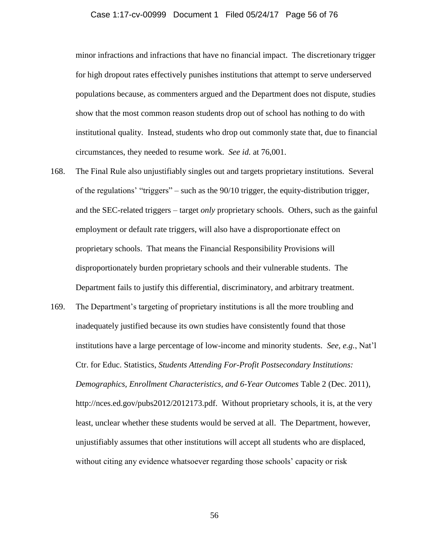## Case 1:17-cv-00999 Document 1 Filed 05/24/17 Page 56 of 76

minor infractions and infractions that have no financial impact. The discretionary trigger for high dropout rates effectively punishes institutions that attempt to serve underserved populations because, as commenters argued and the Department does not dispute, studies show that the most common reason students drop out of school has nothing to do with institutional quality. Instead, students who drop out commonly state that, due to financial circumstances, they needed to resume work. *See id.* at 76,001.

- 168. The Final Rule also unjustifiably singles out and targets proprietary institutions. Several of the regulations' "triggers" – such as the 90/10 trigger, the equity-distribution trigger, and the SEC-related triggers – target *only* proprietary schools. Others, such as the gainful employment or default rate triggers, will also have a disproportionate effect on proprietary schools. That means the Financial Responsibility Provisions will disproportionately burden proprietary schools and their vulnerable students. The Department fails to justify this differential, discriminatory, and arbitrary treatment.
- 169. The Department's targeting of proprietary institutions is all the more troubling and inadequately justified because its own studies have consistently found that those institutions have a large percentage of low-income and minority students. *See, e.g.*, Nat'l Ctr. for Educ. Statistics, *Students Attending For-Profit Postsecondary Institutions: Demographics, Enrollment Characteristics, and 6-Year Outcomes* Table 2 (Dec. 2011), http://nces.ed.gov/pubs2012/2012173.pdf. Without proprietary schools, it is, at the very least, unclear whether these students would be served at all. The Department, however, unjustifiably assumes that other institutions will accept all students who are displaced, without citing any evidence whatsoever regarding those schools' capacity or risk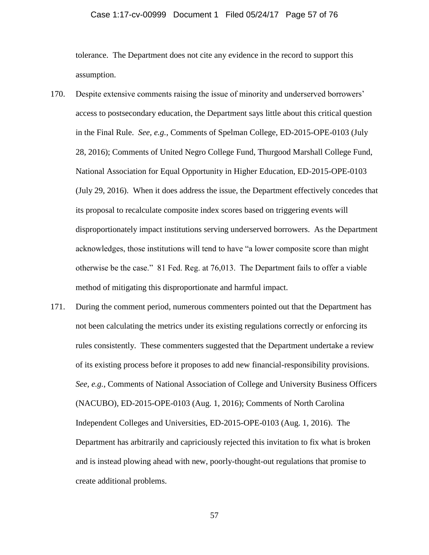## Case 1:17-cv-00999 Document 1 Filed 05/24/17 Page 57 of 76

tolerance. The Department does not cite any evidence in the record to support this assumption.

- 170. Despite extensive comments raising the issue of minority and underserved borrowers' access to postsecondary education, the Department says little about this critical question in the Final Rule. *See, e.g.*, Comments of Spelman College, ED-2015-OPE-0103 (July 28, 2016); Comments of United Negro College Fund, Thurgood Marshall College Fund, National Association for Equal Opportunity in Higher Education, ED-2015-OPE-0103 (July 29, 2016). When it does address the issue, the Department effectively concedes that its proposal to recalculate composite index scores based on triggering events will disproportionately impact institutions serving underserved borrowers. As the Department acknowledges, those institutions will tend to have "a lower composite score than might otherwise be the case." 81 Fed. Reg. at 76,013. The Department fails to offer a viable method of mitigating this disproportionate and harmful impact.
- 171. During the comment period, numerous commenters pointed out that the Department has not been calculating the metrics under its existing regulations correctly or enforcing its rules consistently. These commenters suggested that the Department undertake a review of its existing process before it proposes to add new financial-responsibility provisions. *See, e.g.*, Comments of National Association of College and University Business Officers (NACUBO), ED-2015-OPE-0103 (Aug. 1, 2016); Comments of North Carolina Independent Colleges and Universities, ED-2015-OPE-0103 (Aug. 1, 2016). The Department has arbitrarily and capriciously rejected this invitation to fix what is broken and is instead plowing ahead with new, poorly-thought-out regulations that promise to create additional problems.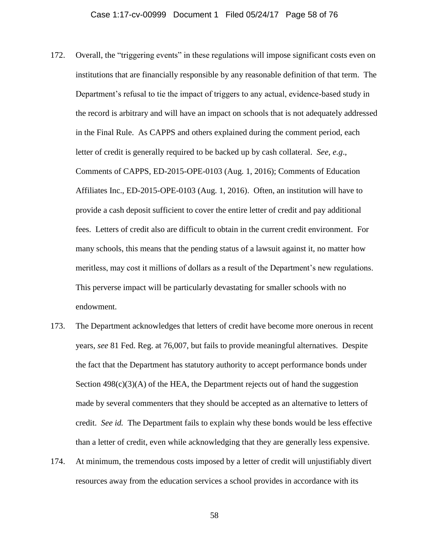- 172. Overall, the "triggering events" in these regulations will impose significant costs even on institutions that are financially responsible by any reasonable definition of that term. The Department's refusal to tie the impact of triggers to any actual, evidence-based study in the record is arbitrary and will have an impact on schools that is not adequately addressed in the Final Rule. As CAPPS and others explained during the comment period, each letter of credit is generally required to be backed up by cash collateral. *See, e.g*., Comments of CAPPS, ED-2015-OPE-0103 (Aug. 1, 2016); Comments of Education Affiliates Inc., ED-2015-OPE-0103 (Aug. 1, 2016). Often, an institution will have to provide a cash deposit sufficient to cover the entire letter of credit and pay additional fees. Letters of credit also are difficult to obtain in the current credit environment. For many schools, this means that the pending status of a lawsuit against it, no matter how meritless, may cost it millions of dollars as a result of the Department's new regulations. This perverse impact will be particularly devastating for smaller schools with no endowment.
- 173. The Department acknowledges that letters of credit have become more onerous in recent years, *see* 81 Fed. Reg. at 76,007, but fails to provide meaningful alternatives. Despite the fact that the Department has statutory authority to accept performance bonds under Section  $498(c)(3)(A)$  of the HEA, the Department rejects out of hand the suggestion made by several commenters that they should be accepted as an alternative to letters of credit. *See id.* The Department fails to explain why these bonds would be less effective than a letter of credit, even while acknowledging that they are generally less expensive.
- 174. At minimum, the tremendous costs imposed by a letter of credit will unjustifiably divert resources away from the education services a school provides in accordance with its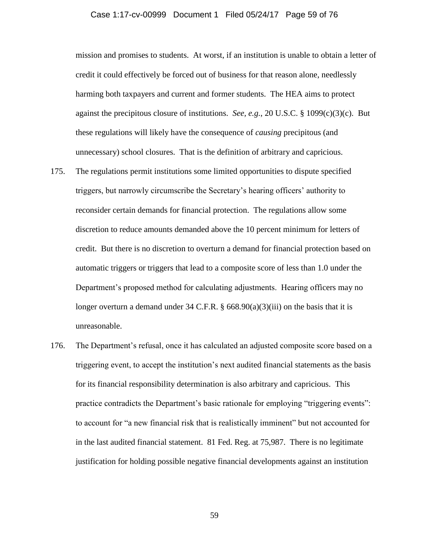## Case 1:17-cv-00999 Document 1 Filed 05/24/17 Page 59 of 76

mission and promises to students. At worst, if an institution is unable to obtain a letter of credit it could effectively be forced out of business for that reason alone, needlessly harming both taxpayers and current and former students. The HEA aims to protect against the precipitous closure of institutions. *See, e.g.*, 20 U.S.C. § 1099(c)(3)(c). But these regulations will likely have the consequence of *causing* precipitous (and unnecessary) school closures. That is the definition of arbitrary and capricious.

- 175. The regulations permit institutions some limited opportunities to dispute specified triggers, but narrowly circumscribe the Secretary's hearing officers' authority to reconsider certain demands for financial protection. The regulations allow some discretion to reduce amounts demanded above the 10 percent minimum for letters of credit. But there is no discretion to overturn a demand for financial protection based on automatic triggers or triggers that lead to a composite score of less than 1.0 under the Department's proposed method for calculating adjustments. Hearing officers may no longer overturn a demand under 34 C.F.R. § 668.90(a)(3)(iii) on the basis that it is unreasonable.
- 176. The Department's refusal, once it has calculated an adjusted composite score based on a triggering event, to accept the institution's next audited financial statements as the basis for its financial responsibility determination is also arbitrary and capricious. This practice contradicts the Department's basic rationale for employing "triggering events": to account for "a new financial risk that is realistically imminent" but not accounted for in the last audited financial statement. 81 Fed. Reg. at 75,987. There is no legitimate justification for holding possible negative financial developments against an institution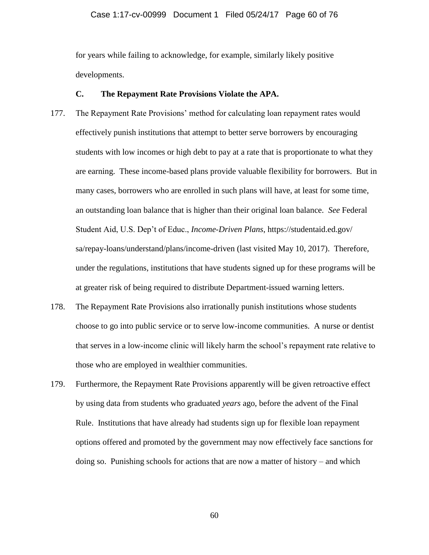## Case 1:17-cv-00999 Document 1 Filed 05/24/17 Page 60 of 76

for years while failing to acknowledge, for example, similarly likely positive developments.

## **C. The Repayment Rate Provisions Violate the APA.**

- 177. The Repayment Rate Provisions' method for calculating loan repayment rates would effectively punish institutions that attempt to better serve borrowers by encouraging students with low incomes or high debt to pay at a rate that is proportionate to what they are earning. These income-based plans provide valuable flexibility for borrowers. But in many cases, borrowers who are enrolled in such plans will have, at least for some time, an outstanding loan balance that is higher than their original loan balance. *See* Federal Student Aid, U.S. Dep't of Educ., *Income-Driven Plans*, https://studentaid.ed.gov/ sa/repay-loans/understand/plans/income-driven (last visited May 10, 2017). Therefore, under the regulations, institutions that have students signed up for these programs will be at greater risk of being required to distribute Department-issued warning letters.
- 178. The Repayment Rate Provisions also irrationally punish institutions whose students choose to go into public service or to serve low-income communities. A nurse or dentist that serves in a low-income clinic will likely harm the school's repayment rate relative to those who are employed in wealthier communities.
- 179. Furthermore, the Repayment Rate Provisions apparently will be given retroactive effect by using data from students who graduated *years* ago, before the advent of the Final Rule. Institutions that have already had students sign up for flexible loan repayment options offered and promoted by the government may now effectively face sanctions for doing so. Punishing schools for actions that are now a matter of history – and which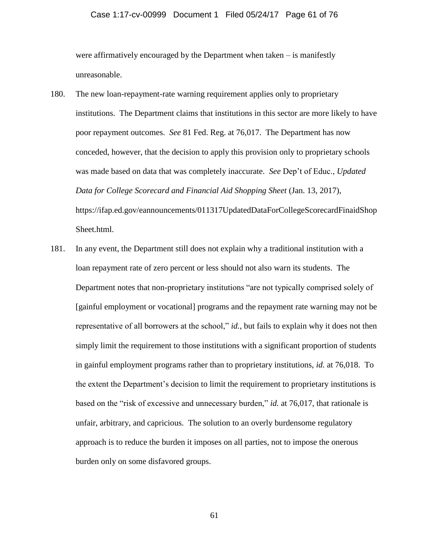#### Case 1:17-cv-00999 Document 1 Filed 05/24/17 Page 61 of 76

were affirmatively encouraged by the Department when taken – is manifestly unreasonable.

- 180. The new loan-repayment-rate warning requirement applies only to proprietary institutions. The Department claims that institutions in this sector are more likely to have poor repayment outcomes. *See* 81 Fed. Reg. at 76,017. The Department has now conceded, however, that the decision to apply this provision only to proprietary schools was made based on data that was completely inaccurate. *See* Dep't of Educ., *Updated Data for College Scorecard and Financial Aid Shopping Sheet* (Jan. 13, 2017), https://ifap.ed.gov/eannouncements/011317UpdatedDataForCollegeScorecardFinaidShop Sheet.html.
- 181. In any event, the Department still does not explain why a traditional institution with a loan repayment rate of zero percent or less should not also warn its students. The Department notes that non-proprietary institutions "are not typically comprised solely of [gainful employment or vocational] programs and the repayment rate warning may not be representative of all borrowers at the school," *id.*, but fails to explain why it does not then simply limit the requirement to those institutions with a significant proportion of students in gainful employment programs rather than to proprietary institutions, *id.* at 76,018. To the extent the Department's decision to limit the requirement to proprietary institutions is based on the "risk of excessive and unnecessary burden," *id.* at 76,017, that rationale is unfair, arbitrary, and capricious. The solution to an overly burdensome regulatory approach is to reduce the burden it imposes on all parties, not to impose the onerous burden only on some disfavored groups.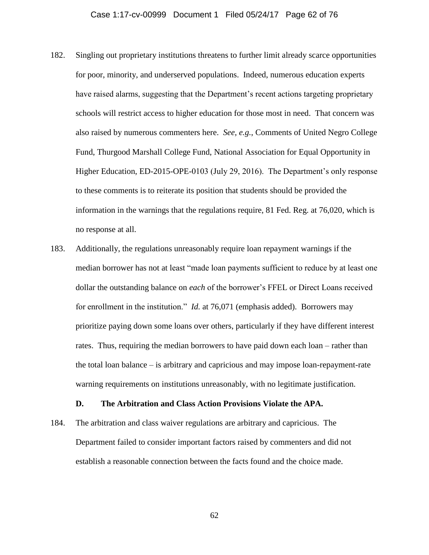- 182. Singling out proprietary institutions threatens to further limit already scarce opportunities for poor, minority, and underserved populations. Indeed, numerous education experts have raised alarms, suggesting that the Department's recent actions targeting proprietary schools will restrict access to higher education for those most in need. That concern was also raised by numerous commenters here. *See, e.g.*, Comments of United Negro College Fund, Thurgood Marshall College Fund, National Association for Equal Opportunity in Higher Education, ED-2015-OPE-0103 (July 29, 2016). The Department's only response to these comments is to reiterate its position that students should be provided the information in the warnings that the regulations require, 81 Fed. Reg. at 76,020, which is no response at all.
- 183. Additionally, the regulations unreasonably require loan repayment warnings if the median borrower has not at least "made loan payments sufficient to reduce by at least one dollar the outstanding balance on *each* of the borrower's FFEL or Direct Loans received for enrollment in the institution." *Id.* at 76,071 (emphasis added). Borrowers may prioritize paying down some loans over others, particularly if they have different interest rates. Thus, requiring the median borrowers to have paid down each loan – rather than the total loan balance – is arbitrary and capricious and may impose loan-repayment-rate warning requirements on institutions unreasonably, with no legitimate justification.

## **D. The Arbitration and Class Action Provisions Violate the APA.**

184. The arbitration and class waiver regulations are arbitrary and capricious. The Department failed to consider important factors raised by commenters and did not establish a reasonable connection between the facts found and the choice made.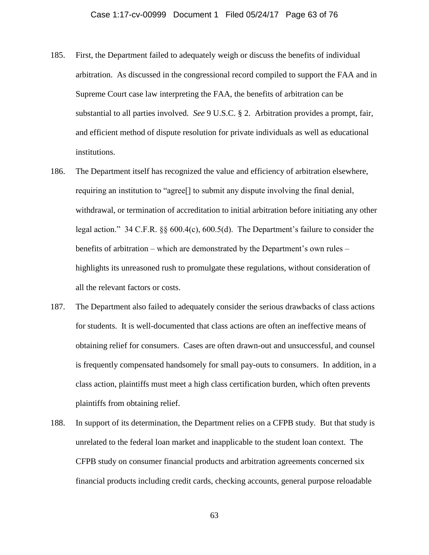- 185. First, the Department failed to adequately weigh or discuss the benefits of individual arbitration. As discussed in the congressional record compiled to support the FAA and in Supreme Court case law interpreting the FAA, the benefits of arbitration can be substantial to all parties involved. *See* 9 U.S.C. § 2. Arbitration provides a prompt, fair, and efficient method of dispute resolution for private individuals as well as educational institutions.
- 186. The Department itself has recognized the value and efficiency of arbitration elsewhere, requiring an institution to "agree[] to submit any dispute involving the final denial, withdrawal, or termination of accreditation to initial arbitration before initiating any other legal action." 34 C.F.R. §§ 600.4(c), 600.5(d). The Department's failure to consider the benefits of arbitration – which are demonstrated by the Department's own rules – highlights its unreasoned rush to promulgate these regulations, without consideration of all the relevant factors or costs.
- 187. The Department also failed to adequately consider the serious drawbacks of class actions for students. It is well-documented that class actions are often an ineffective means of obtaining relief for consumers. Cases are often drawn-out and unsuccessful, and counsel is frequently compensated handsomely for small pay-outs to consumers. In addition, in a class action, plaintiffs must meet a high class certification burden, which often prevents plaintiffs from obtaining relief.
- 188. In support of its determination, the Department relies on a CFPB study. But that study is unrelated to the federal loan market and inapplicable to the student loan context. The CFPB study on consumer financial products and arbitration agreements concerned six financial products including credit cards, checking accounts, general purpose reloadable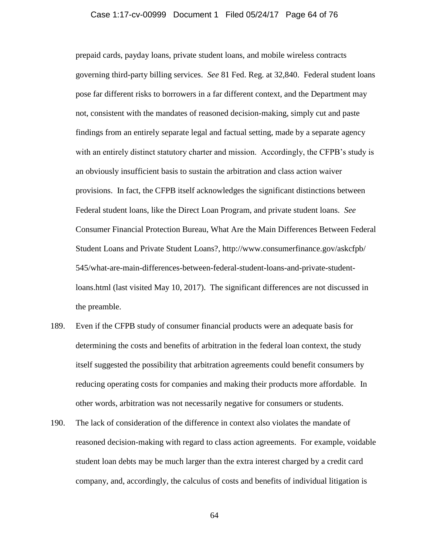## Case 1:17-cv-00999 Document 1 Filed 05/24/17 Page 64 of 76

prepaid cards, payday loans, private student loans, and mobile wireless contracts governing third-party billing services. *See* 81 Fed. Reg. at 32,840. Federal student loans pose far different risks to borrowers in a far different context, and the Department may not, consistent with the mandates of reasoned decision-making, simply cut and paste findings from an entirely separate legal and factual setting, made by a separate agency with an entirely distinct statutory charter and mission. Accordingly, the CFPB's study is an obviously insufficient basis to sustain the arbitration and class action waiver provisions. In fact, the CFPB itself acknowledges the significant distinctions between Federal student loans, like the Direct Loan Program, and private student loans. *See*  Consumer Financial Protection Bureau, What Are the Main Differences Between Federal Student Loans and Private Student Loans?, http://www.consumerfinance.gov/askcfpb/ 545/what-are-main-differences-between-federal-student-loans-and-private-studentloans.html (last visited May 10, 2017). The significant differences are not discussed in the preamble.

- 189. Even if the CFPB study of consumer financial products were an adequate basis for determining the costs and benefits of arbitration in the federal loan context, the study itself suggested the possibility that arbitration agreements could benefit consumers by reducing operating costs for companies and making their products more affordable. In other words, arbitration was not necessarily negative for consumers or students.
- 190. The lack of consideration of the difference in context also violates the mandate of reasoned decision-making with regard to class action agreements. For example, voidable student loan debts may be much larger than the extra interest charged by a credit card company, and, accordingly, the calculus of costs and benefits of individual litigation is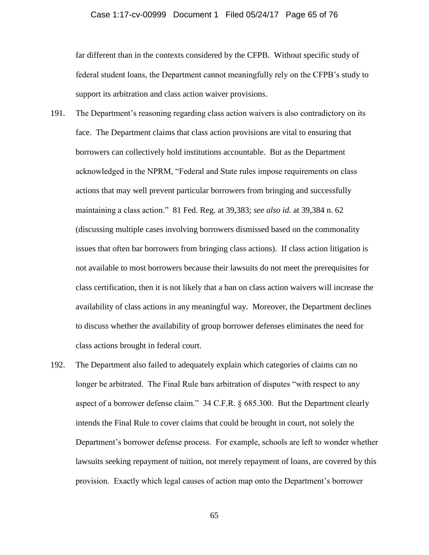## Case 1:17-cv-00999 Document 1 Filed 05/24/17 Page 65 of 76

far different than in the contexts considered by the CFPB. Without specific study of federal student loans, the Department cannot meaningfully rely on the CFPB's study to support its arbitration and class action waiver provisions.

- 191. The Department's reasoning regarding class action waivers is also contradictory on its face. The Department claims that class action provisions are vital to ensuring that borrowers can collectively hold institutions accountable. But as the Department acknowledged in the NPRM, "Federal and State rules impose requirements on class actions that may well prevent particular borrowers from bringing and successfully maintaining a class action." 81 Fed. Reg. at 39,383; *see also id.* at 39,384 n. 62 (discussing multiple cases involving borrowers dismissed based on the commonality issues that often bar borrowers from bringing class actions). If class action litigation is not available to most borrowers because their lawsuits do not meet the prerequisites for class certification, then it is not likely that a ban on class action waivers will increase the availability of class actions in any meaningful way. Moreover, the Department declines to discuss whether the availability of group borrower defenses eliminates the need for class actions brought in federal court.
- 192. The Department also failed to adequately explain which categories of claims can no longer be arbitrated. The Final Rule bars arbitration of disputes "with respect to any aspect of a borrower defense claim." 34 C.F.R. § 685.300. But the Department clearly intends the Final Rule to cover claims that could be brought in court, not solely the Department's borrower defense process. For example, schools are left to wonder whether lawsuits seeking repayment of tuition, not merely repayment of loans, are covered by this provision. Exactly which legal causes of action map onto the Department's borrower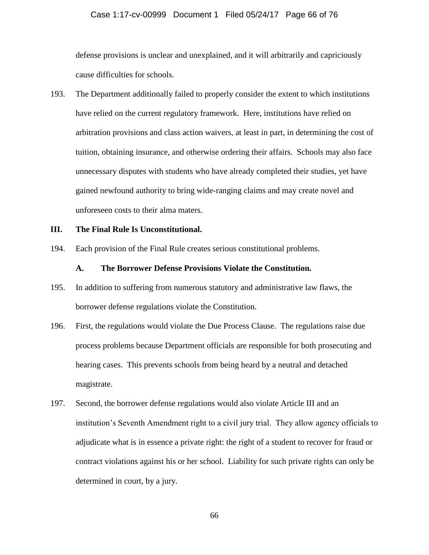## Case 1:17-cv-00999 Document 1 Filed 05/24/17 Page 66 of 76

defense provisions is unclear and unexplained, and it will arbitrarily and capriciously cause difficulties for schools.

193. The Department additionally failed to properly consider the extent to which institutions have relied on the current regulatory framework. Here, institutions have relied on arbitration provisions and class action waivers, at least in part, in determining the cost of tuition, obtaining insurance, and otherwise ordering their affairs. Schools may also face unnecessary disputes with students who have already completed their studies, yet have gained newfound authority to bring wide-ranging claims and may create novel and unforeseen costs to their alma maters.

## **III. The Final Rule Is Unconstitutional.**

194. Each provision of the Final Rule creates serious constitutional problems.

## **A. The Borrower Defense Provisions Violate the Constitution.**

- 195. In addition to suffering from numerous statutory and administrative law flaws, the borrower defense regulations violate the Constitution.
- 196. First, the regulations would violate the Due Process Clause. The regulations raise due process problems because Department officials are responsible for both prosecuting and hearing cases. This prevents schools from being heard by a neutral and detached magistrate.
- 197. Second, the borrower defense regulations would also violate Article III and an institution's Seventh Amendment right to a civil jury trial. They allow agency officials to adjudicate what is in essence a private right: the right of a student to recover for fraud or contract violations against his or her school. Liability for such private rights can only be determined in court, by a jury.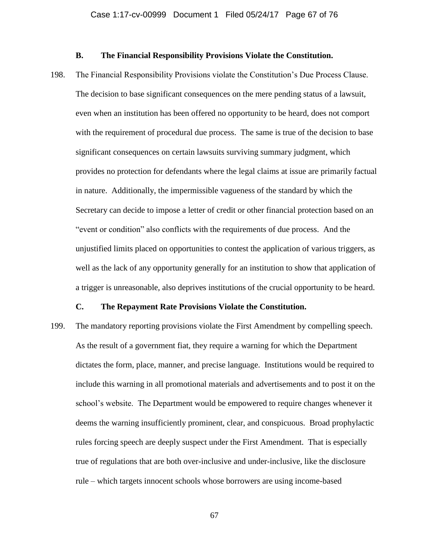## **B. The Financial Responsibility Provisions Violate the Constitution.**

198. The Financial Responsibility Provisions violate the Constitution's Due Process Clause. The decision to base significant consequences on the mere pending status of a lawsuit, even when an institution has been offered no opportunity to be heard, does not comport with the requirement of procedural due process. The same is true of the decision to base significant consequences on certain lawsuits surviving summary judgment, which provides no protection for defendants where the legal claims at issue are primarily factual in nature. Additionally, the impermissible vagueness of the standard by which the Secretary can decide to impose a letter of credit or other financial protection based on an "event or condition" also conflicts with the requirements of due process. And the unjustified limits placed on opportunities to contest the application of various triggers, as well as the lack of any opportunity generally for an institution to show that application of a trigger is unreasonable, also deprives institutions of the crucial opportunity to be heard.

#### **C. The Repayment Rate Provisions Violate the Constitution.**

199. The mandatory reporting provisions violate the First Amendment by compelling speech. As the result of a government fiat, they require a warning for which the Department dictates the form, place, manner, and precise language. Institutions would be required to include this warning in all promotional materials and advertisements and to post it on the school's website. The Department would be empowered to require changes whenever it deems the warning insufficiently prominent, clear, and conspicuous. Broad prophylactic rules forcing speech are deeply suspect under the First Amendment. That is especially true of regulations that are both over-inclusive and under-inclusive, like the disclosure rule – which targets innocent schools whose borrowers are using income-based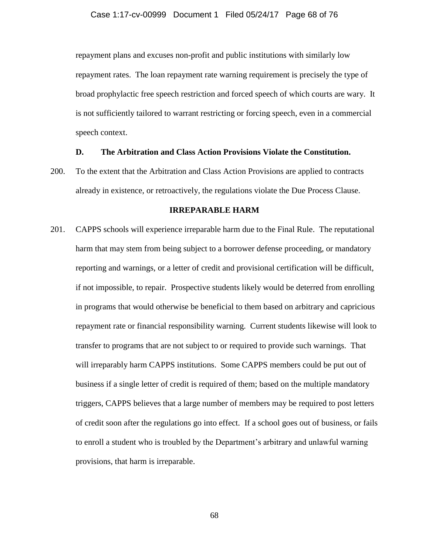repayment plans and excuses non-profit and public institutions with similarly low repayment rates. The loan repayment rate warning requirement is precisely the type of broad prophylactic free speech restriction and forced speech of which courts are wary. It is not sufficiently tailored to warrant restricting or forcing speech, even in a commercial speech context.

## **D. The Arbitration and Class Action Provisions Violate the Constitution.**

200. To the extent that the Arbitration and Class Action Provisions are applied to contracts already in existence, or retroactively, the regulations violate the Due Process Clause.

## **IRREPARABLE HARM**

201. CAPPS schools will experience irreparable harm due to the Final Rule.The reputational harm that may stem from being subject to a borrower defense proceeding, or mandatory reporting and warnings, or a letter of credit and provisional certification will be difficult, if not impossible, to repair. Prospective students likely would be deterred from enrolling in programs that would otherwise be beneficial to them based on arbitrary and capricious repayment rate or financial responsibility warning.Current students likewise will look to transfer to programs that are not subject to or required to provide such warnings. That will irreparably harm CAPPS institutions. Some CAPPS members could be put out of business if a single letter of credit is required of them; based on the multiple mandatory triggers, CAPPS believes that a large number of members may be required to post letters of credit soon after the regulations go into effect.If a school goes out of business, or fails to enroll a student who is troubled by the Department's arbitrary and unlawful warning provisions, that harm is irreparable.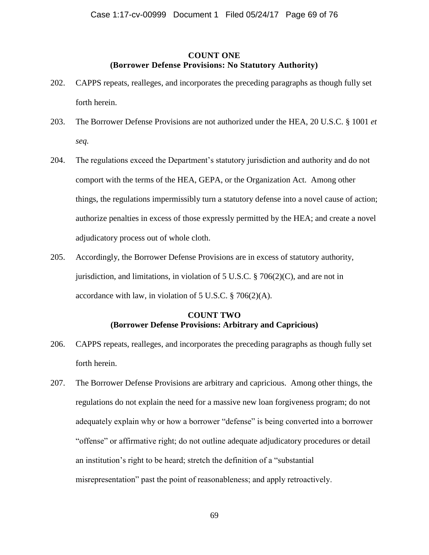## **COUNT ONE (Borrower Defense Provisions: No Statutory Authority)**

- 202. CAPPS repeats, realleges, and incorporates the preceding paragraphs as though fully set forth herein.
- 203. The Borrower Defense Provisions are not authorized under the HEA, 20 U.S.C. § 1001 *et seq.*
- 204. The regulations exceed the Department's statutory jurisdiction and authority and do not comport with the terms of the HEA, GEPA, or the Organization Act. Among other things, the regulations impermissibly turn a statutory defense into a novel cause of action; authorize penalties in excess of those expressly permitted by the HEA; and create a novel adjudicatory process out of whole cloth.
- 205. Accordingly, the Borrower Defense Provisions are in excess of statutory authority, jurisdiction, and limitations, in violation of  $5 \text{ U.S.C.}$  § 706(2)(C), and are not in accordance with law, in violation of 5 U.S.C. § 706(2)(A).

# **COUNT TWO (Borrower Defense Provisions: Arbitrary and Capricious)**

- 206. CAPPS repeats, realleges, and incorporates the preceding paragraphs as though fully set forth herein.
- 207. The Borrower Defense Provisions are arbitrary and capricious. Among other things, the regulations do not explain the need for a massive new loan forgiveness program; do not adequately explain why or how a borrower "defense" is being converted into a borrower "offense" or affirmative right; do not outline adequate adjudicatory procedures or detail an institution's right to be heard; stretch the definition of a "substantial misrepresentation" past the point of reasonableness; and apply retroactively.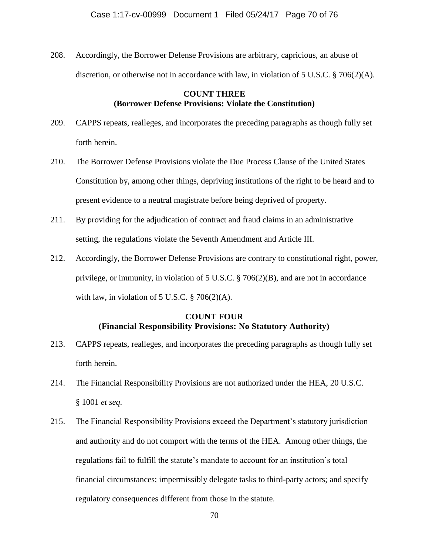208. Accordingly, the Borrower Defense Provisions are arbitrary, capricious, an abuse of discretion, or otherwise not in accordance with law, in violation of 5 U.S.C.  $\S$  706(2)(A).

# **COUNT THREE (Borrower Defense Provisions: Violate the Constitution)**

- 209. CAPPS repeats, realleges, and incorporates the preceding paragraphs as though fully set forth herein.
- 210. The Borrower Defense Provisions violate the Due Process Clause of the United States Constitution by, among other things, depriving institutions of the right to be heard and to present evidence to a neutral magistrate before being deprived of property.
- 211. By providing for the adjudication of contract and fraud claims in an administrative setting, the regulations violate the Seventh Amendment and Article III.
- 212. Accordingly, the Borrower Defense Provisions are contrary to constitutional right, power, privilege, or immunity, in violation of 5 U.S.C. § 706(2)(B), and are not in accordance with law, in violation of 5 U.S.C.  $\S 706(2)(A)$ .

# **COUNT FOUR (Financial Responsibility Provisions: No Statutory Authority)**

- 213. CAPPS repeats, realleges, and incorporates the preceding paragraphs as though fully set forth herein.
- 214. The Financial Responsibility Provisions are not authorized under the HEA, 20 U.S.C. § 1001 *et seq.*
- 215. The Financial Responsibility Provisions exceed the Department's statutory jurisdiction and authority and do not comport with the terms of the HEA. Among other things, the regulations fail to fulfill the statute's mandate to account for an institution's total financial circumstances; impermissibly delegate tasks to third-party actors; and specify regulatory consequences different from those in the statute.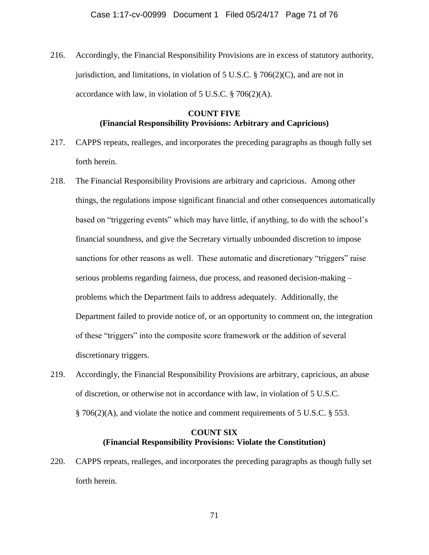216. Accordingly, the Financial Responsibility Provisions are in excess of statutory authority, jurisdiction, and limitations, in violation of  $5 \text{ U.S.C.}$  § 706(2)(C), and are not in accordance with law, in violation of 5 U.S.C. § 706(2)(A).

# **COUNT FIVE (Financial Responsibility Provisions: Arbitrary and Capricious)**

- 217. CAPPS repeats, realleges, and incorporates the preceding paragraphs as though fully set forth herein.
- 218. The Financial Responsibility Provisions are arbitrary and capricious. Among other things, the regulations impose significant financial and other consequences automatically based on "triggering events" which may have little, if anything, to do with the school's financial soundness, and give the Secretary virtually unbounded discretion to impose sanctions for other reasons as well. These automatic and discretionary "triggers" raise serious problems regarding fairness, due process, and reasoned decision-making – problems which the Department fails to address adequately. Additionally, the Department failed to provide notice of, or an opportunity to comment on, the integration of these "triggers" into the composite score framework or the addition of several discretionary triggers.
- 219. Accordingly, the Financial Responsibility Provisions are arbitrary, capricious, an abuse of discretion, or otherwise not in accordance with law, in violation of 5 U.S.C. § 706(2)(A), and violate the notice and comment requirements of 5 U.S.C. § 553.

# **COUNT SIX (Financial Responsibility Provisions: Violate the Constitution)**

220. CAPPS repeats, realleges, and incorporates the preceding paragraphs as though fully set forth herein.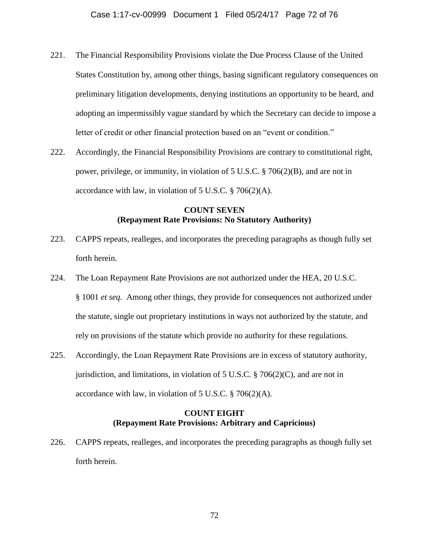- 221. The Financial Responsibility Provisions violate the Due Process Clause of the United States Constitution by, among other things, basing significant regulatory consequences on preliminary litigation developments, denying institutions an opportunity to be heard, and adopting an impermissibly vague standard by which the Secretary can decide to impose a letter of credit or other financial protection based on an "event or condition."
- 222. Accordingly, the Financial Responsibility Provisions are contrary to constitutional right, power, privilege, or immunity, in violation of 5 U.S.C. § 706(2)(B), and are not in accordance with law, in violation of 5 U.S.C. § 706(2)(A).

# **COUNT SEVEN (Repayment Rate Provisions: No Statutory Authority)**

- 223. CAPPS repeats, realleges, and incorporates the preceding paragraphs as though fully set forth herein.
- 224. The Loan Repayment Rate Provisions are not authorized under the HEA, 20 U.S.C. § 1001 *et seq.* Among other things, they provide for consequences not authorized under the statute, single out proprietary institutions in ways not authorized by the statute, and rely on provisions of the statute which provide no authority for these regulations.
- 225. Accordingly, the Loan Repayment Rate Provisions are in excess of statutory authority, jurisdiction, and limitations, in violation of  $5 \text{ U.S.C.}$  § 706(2)(C), and are not in accordance with law, in violation of 5 U.S.C. § 706(2)(A).

# **COUNT EIGHT (Repayment Rate Provisions: Arbitrary and Capricious)**

226. CAPPS repeats, realleges, and incorporates the preceding paragraphs as though fully set forth herein.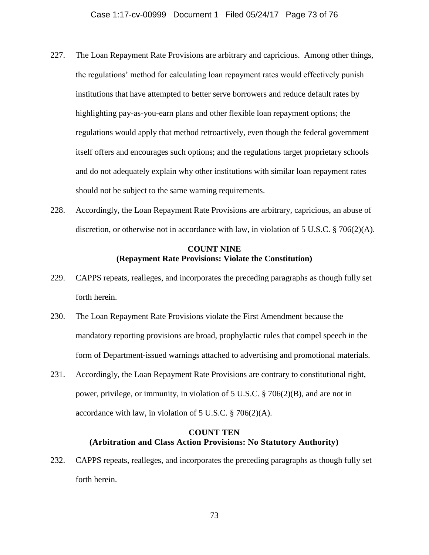- 227. The Loan Repayment Rate Provisions are arbitrary and capricious. Among other things, the regulations' method for calculating loan repayment rates would effectively punish institutions that have attempted to better serve borrowers and reduce default rates by highlighting pay-as-you-earn plans and other flexible loan repayment options; the regulations would apply that method retroactively, even though the federal government itself offers and encourages such options; and the regulations target proprietary schools and do not adequately explain why other institutions with similar loan repayment rates should not be subject to the same warning requirements.
- 228. Accordingly, the Loan Repayment Rate Provisions are arbitrary, capricious, an abuse of discretion, or otherwise not in accordance with law, in violation of 5 U.S.C.  $\S$  706(2)(A).

### **COUNT NINE (Repayment Rate Provisions: Violate the Constitution)**

- 229. CAPPS repeats, realleges, and incorporates the preceding paragraphs as though fully set forth herein.
- 230. The Loan Repayment Rate Provisions violate the First Amendment because the mandatory reporting provisions are broad, prophylactic rules that compel speech in the form of Department-issued warnings attached to advertising and promotional materials.
- 231. Accordingly, the Loan Repayment Rate Provisions are contrary to constitutional right, power, privilege, or immunity, in violation of 5 U.S.C. § 706(2)(B), and are not in accordance with law, in violation of 5 U.S.C. § 706(2)(A).

## **COUNT TEN (Arbitration and Class Action Provisions: No Statutory Authority)**

232. CAPPS repeats, realleges, and incorporates the preceding paragraphs as though fully set forth herein.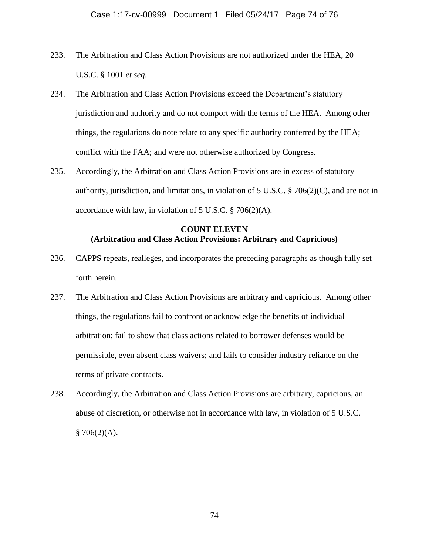- 233. The Arbitration and Class Action Provisions are not authorized under the HEA, 20 U.S.C. § 1001 *et seq.*
- 234. The Arbitration and Class Action Provisions exceed the Department's statutory jurisdiction and authority and do not comport with the terms of the HEA. Among other things, the regulations do note relate to any specific authority conferred by the HEA; conflict with the FAA; and were not otherwise authorized by Congress.
- 235. Accordingly, the Arbitration and Class Action Provisions are in excess of statutory authority, jurisdiction, and limitations, in violation of  $5 \text{ U.S.C.}$  § 706(2)(C), and are not in accordance with law, in violation of 5 U.S.C. § 706(2)(A).

# **COUNT ELEVEN (Arbitration and Class Action Provisions: Arbitrary and Capricious)**

- 236. CAPPS repeats, realleges, and incorporates the preceding paragraphs as though fully set forth herein.
- 237. The Arbitration and Class Action Provisions are arbitrary and capricious. Among other things, the regulations fail to confront or acknowledge the benefits of individual arbitration; fail to show that class actions related to borrower defenses would be permissible, even absent class waivers; and fails to consider industry reliance on the terms of private contracts.
- 238. Accordingly, the Arbitration and Class Action Provisions are arbitrary, capricious, an abuse of discretion, or otherwise not in accordance with law, in violation of 5 U.S.C.  $$706(2)(A).$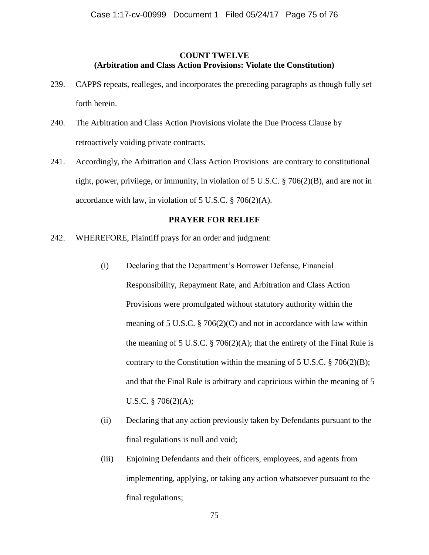#### **COUNT TWELVE (Arbitration and Class Action Provisions: Violate the Constitution)**

- 239. CAPPS repeats, realleges, and incorporates the preceding paragraphs as though fully set forth herein.
- 240. The Arbitration and Class Action Provisions violate the Due Process Clause by retroactively voiding private contracts.
- 241. Accordingly, the Arbitration and Class Action Provisions are contrary to constitutional right, power, privilege, or immunity, in violation of 5 U.S.C. § 706(2)(B), and are not in accordance with law, in violation of 5 U.S.C. § 706(2)(A).

## **PRAYER FOR RELIEF**

- 242. WHEREFORE, Plaintiff prays for an order and judgment:
	- (i) Declaring that the Department's Borrower Defense, Financial Responsibility, Repayment Rate, and Arbitration and Class Action Provisions were promulgated without statutory authority within the meaning of 5 U.S.C. § 706(2)(C) and not in accordance with law within the meaning of 5 U.S.C.  $\S$  706(2)(A); that the entirety of the Final Rule is contrary to the Constitution within the meaning of  $5 \text{ U.S.C.} \$   $706(2)(\text{B})$ ; and that the Final Rule is arbitrary and capricious within the meaning of 5 U.S.C. § 706(2)(A);
	- (ii) Declaring that any action previously taken by Defendants pursuant to the final regulations is null and void;
	- (iii) Enjoining Defendants and their officers, employees, and agents from implementing, applying, or taking any action whatsoever pursuant to the final regulations;